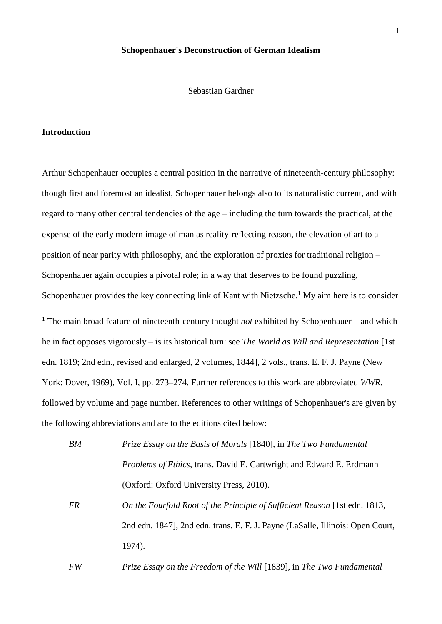#### **Schopenhauer's Deconstruction of German Idealism**

Sebastian Gardner

#### **Introduction**

Arthur Schopenhauer occupies a central position in the narrative of nineteenth-century philosophy: though first and foremost an idealist, Schopenhauer belongs also to its naturalistic current, and with regard to many other central tendencies of the age – including the turn towards the practical, at the expense of the early modern image of man as reality-reflecting reason, the elevation of art to a position of near parity with philosophy, and the exploration of proxies for traditional religion – Schopenhauer again occupies a pivotal role; in a way that deserves to be found puzzling, Schopenhauer provides the key connecting link of Kant with Nietzsche.<sup>1</sup> My aim here is to consider

-<sup>1</sup> The main broad feature of nineteenth-century thought *not* exhibited by Schopenhauer – and which he in fact opposes vigorously – is its historical turn: see *The World as Will and Representation* [1st edn. 1819; 2nd edn., revised and enlarged, 2 volumes, 1844], 2 vols., trans. E. F. J. Payne (New York: Dover, 1969), Vol. I, pp. 273–274. Further references to this work are abbreviated *WWR*, followed by volume and page number. References to other writings of Schopenhauer's are given by the following abbreviations and are to the editions cited below:

*BM Prize Essay on the Basis of Morals* [1840], in *The Two Fundamental Problems of Ethics*, trans. David E. Cartwright and Edward E. Erdmann (Oxford: Oxford University Press, 2010).

*FR On the Fourfold Root of the Principle of Sufficient Reason* [1st edn. 1813, 2nd edn. 1847], 2nd edn. trans. E. F. J. Payne (LaSalle, Illinois: Open Court, 1974).

*FW Prize Essay on the Freedom of the Will* [1839], in *The Two Fundamental*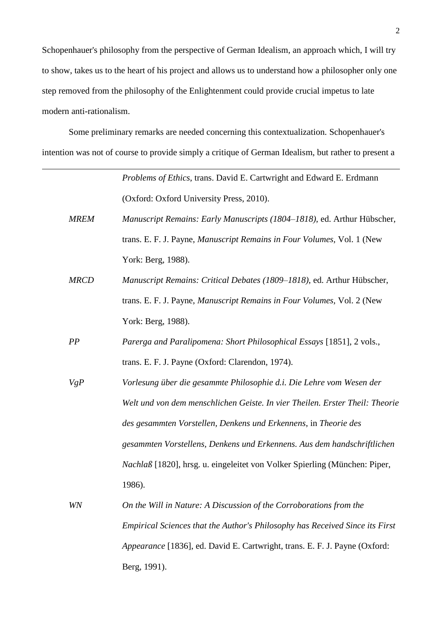Schopenhauer's philosophy from the perspective of German Idealism, an approach which, I will try to show, takes us to the heart of his project and allows us to understand how a philosopher only one step removed from the philosophy of the Enlightenment could provide crucial impetus to late modern anti-rationalism.

Some preliminary remarks are needed concerning this contextualization. Schopenhauer's intention was not of course to provide simply a critique of German Idealism, but rather to present a

|             | Problems of Ethics, trans. David E. Cartwright and Edward E. Erdmann              |
|-------------|-----------------------------------------------------------------------------------|
|             | (Oxford: Oxford University Press, 2010).                                          |
| <b>MREM</b> | Manuscript Remains: Early Manuscripts (1804–1818), ed. Arthur Hübscher,           |
|             | trans. E. F. J. Payne, Manuscript Remains in Four Volumes, Vol. 1 (New            |
|             | York: Berg, 1988).                                                                |
| <b>MRCD</b> | Manuscript Remains: Critical Debates (1809–1818), ed. Arthur Hübscher,            |
|             | trans. E. F. J. Payne, Manuscript Remains in Four Volumes, Vol. 2 (New            |
|             | York: Berg, 1988).                                                                |
| PP          | Parerga and Paralipomena: Short Philosophical Essays [1851], 2 vols.,             |
|             | trans. E. F. J. Payne (Oxford: Clarendon, 1974).                                  |
| VgP         | Vorlesung über die gesammte Philosophie d.i. Die Lehre vom Wesen der              |
|             | Welt und von dem menschlichen Geiste. In vier Theilen. Erster Theil: Theorie      |
|             | des gesammten Vorstellen, Denkens und Erkennens, in Theorie des                   |
|             | gesammten Vorstellens, Denkens und Erkennens. Aus dem handschriftlichen           |
|             | <i>Nachlaβ</i> [1820], hrsg. u. eingeleitet von Volker Spierling (München: Piper, |
|             | 1986).                                                                            |
| WN          | On the Will in Nature: A Discussion of the Corroborations from the                |
|             | Empirical Sciences that the Author's Philosophy has Received Since its First      |
|             | Appearance [1836], ed. David E. Cartwright, trans. E. F. J. Payne (Oxford:        |
|             | Berg, 1991).                                                                      |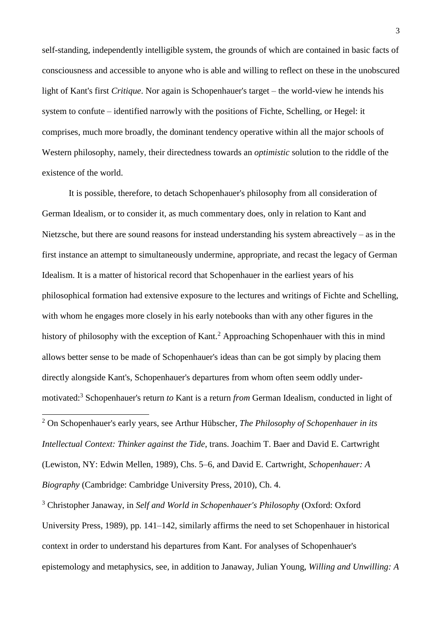self-standing, independently intelligible system, the grounds of which are contained in basic facts of consciousness and accessible to anyone who is able and willing to reflect on these in the unobscured light of Kant's first *Critique*. Nor again is Schopenhauer's target – the world-view he intends his system to confute – identified narrowly with the positions of Fichte, Schelling, or Hegel: it comprises, much more broadly, the dominant tendency operative within all the major schools of Western philosophy, namely, their directedness towards an *optimistic* solution to the riddle of the existence of the world.

It is possible, therefore, to detach Schopenhauer's philosophy from all consideration of German Idealism, or to consider it, as much commentary does, only in relation to Kant and Nietzsche, but there are sound reasons for instead understanding his system abreactively – as in the first instance an attempt to simultaneously undermine, appropriate, and recast the legacy of German Idealism. It is a matter of historical record that Schopenhauer in the earliest years of his philosophical formation had extensive exposure to the lectures and writings of Fichte and Schelling, with whom he engages more closely in his early notebooks than with any other figures in the history of philosophy with the exception of Kant.<sup>2</sup> Approaching Schopenhauer with this in mind allows better sense to be made of Schopenhauer's ideas than can be got simply by placing them directly alongside Kant's, Schopenhauer's departures from whom often seem oddly undermotivated:<sup>3</sup> Schopenhauer's return *to* Kant is a return *from* German Idealism, conducted in light of

<sup>2</sup> On Schopenhauer's early years, see Arthur Hübscher, *The Philosophy of Schopenhauer in its Intellectual Context: Thinker against the Tide*, trans. Joachim T. Baer and David E. Cartwright (Lewiston, NY: Edwin Mellen, 1989), Chs. 5–6, and David E. Cartwright, *Schopenhauer: A Biography* (Cambridge: Cambridge University Press, 2010), Ch. 4.

1

<sup>3</sup> Christopher Janaway, in *Self and World in Schopenhauer's Philosophy* (Oxford: Oxford University Press, 1989), pp. 141–142, similarly affirms the need to set Schopenhauer in historical context in order to understand his departures from Kant. For analyses of Schopenhauer's epistemology and metaphysics, see, in addition to Janaway, Julian Young, *Willing and Unwilling: A*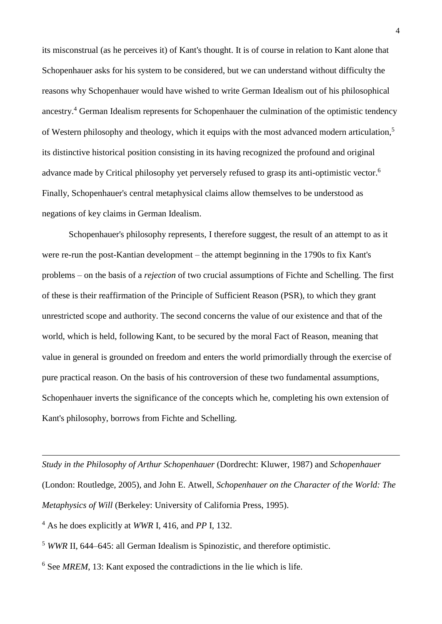its misconstrual (as he perceives it) of Kant's thought. It is of course in relation to Kant alone that Schopenhauer asks for his system to be considered, but we can understand without difficulty the reasons why Schopenhauer would have wished to write German Idealism out of his philosophical ancestry.<sup>4</sup> German Idealism represents for Schopenhauer the culmination of the optimistic tendency of Western philosophy and theology, which it equips with the most advanced modern articulation,<sup>5</sup> its distinctive historical position consisting in its having recognized the profound and original advance made by Critical philosophy yet perversely refused to grasp its anti-optimistic vector.<sup>6</sup> Finally, Schopenhauer's central metaphysical claims allow themselves to be understood as negations of key claims in German Idealism.

Schopenhauer's philosophy represents, I therefore suggest, the result of an attempt to as it were re-run the post-Kantian development – the attempt beginning in the 1790s to fix Kant's problems – on the basis of a *rejection* of two crucial assumptions of Fichte and Schelling. The first of these is their reaffirmation of the Principle of Sufficient Reason (PSR), to which they grant unrestricted scope and authority. The second concerns the value of our existence and that of the world, which is held, following Kant, to be secured by the moral Fact of Reason, meaning that value in general is grounded on freedom and enters the world primordially through the exercise of pure practical reason. On the basis of his controversion of these two fundamental assumptions, Schopenhauer inverts the significance of the concepts which he, completing his own extension of Kant's philosophy, borrows from Fichte and Schelling.

*Study in the Philosophy of Arthur Schopenhauer* (Dordrecht: Kluwer, 1987) and *Schopenhauer* (London: Routledge, 2005), and John E. Atwell, *Schopenhauer on the Character of the World: The Metaphysics of Will* (Berkeley: University of California Press, 1995).

<sup>4</sup> As he does explicitly at *WWR* I, 416, and *PP* I, 132.

1

<sup>5</sup> *WWR* II, 644–645: all German Idealism is Spinozistic, and therefore optimistic.

<sup>6</sup> See *MREM*, 13: Kant exposed the contradictions in the lie which is life.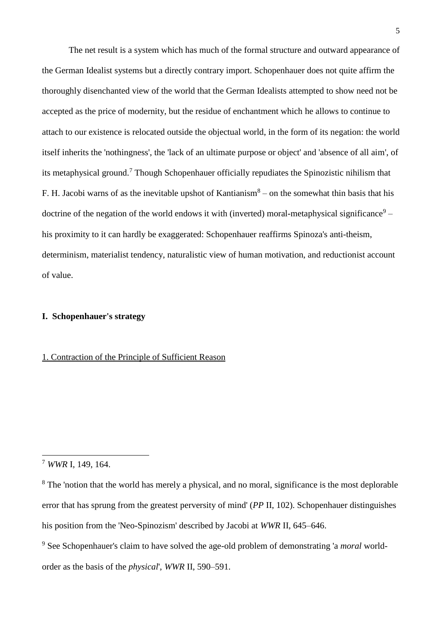The net result is a system which has much of the formal structure and outward appearance of the German Idealist systems but a directly contrary import. Schopenhauer does not quite affirm the thoroughly disenchanted view of the world that the German Idealists attempted to show need not be accepted as the price of modernity, but the residue of enchantment which he allows to continue to attach to our existence is relocated outside the objectual world, in the form of its negation: the world itself inherits the 'nothingness', the 'lack of an ultimate purpose or object' and 'absence of all aim', of its metaphysical ground.<sup>7</sup> Though Schopenhauer officially repudiates the Spinozistic nihilism that F. H. Jacobi warns of as the inevitable upshot of Kantianism<sup>8</sup> – on the somewhat thin basis that his doctrine of the negation of the world endows it with (inverted) moral-metaphysical significance<sup>9</sup> – his proximity to it can hardly be exaggerated: Schopenhauer reaffirms Spinoza's anti-theism, determinism, materialist tendency, naturalistic view of human motivation, and reductionist account of value.

### **I. Schopenhauer's strategy**

### 1. Contraction of the Principle of Sufficient Reason

<sup>7</sup> *WWR* I, 149, 164.

<sup>&</sup>lt;sup>8</sup> The 'notion that the world has merely a physical, and no moral, significance is the most deplorable error that has sprung from the greatest perversity of mind' (*PP* II, 102). Schopenhauer distinguishes his position from the 'Neo-Spinozism' described by Jacobi at *WWR* II, 645–646.

<sup>9</sup> See Schopenhauer's claim to have solved the age-old problem of demonstrating 'a *moral* worldorder as the basis of the *physical*', *WWR* II, 590–591.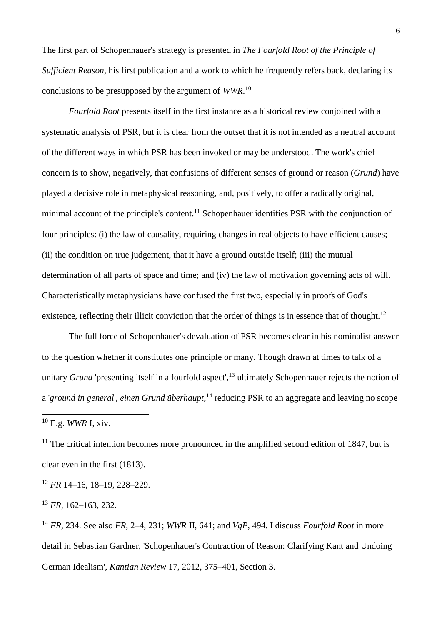The first part of Schopenhauer's strategy is presented in *The Fourfold Root of the Principle of Sufficient Reason*, his first publication and a work to which he frequently refers back, declaring its conclusions to be presupposed by the argument of *WWR*. 10

*Fourfold Root* presents itself in the first instance as a historical review conjoined with a systematic analysis of PSR, but it is clear from the outset that it is not intended as a neutral account of the different ways in which PSR has been invoked or may be understood. The work's chief concern is to show, negatively, that confusions of different senses of ground or reason (*Grund*) have played a decisive role in metaphysical reasoning, and, positively, to offer a radically original, minimal account of the principle's content.<sup>11</sup> Schopenhauer identifies PSR with the conjunction of four principles: (i) the law of causality, requiring changes in real objects to have efficient causes; (ii) the condition on true judgement, that it have a ground outside itself; (iii) the mutual determination of all parts of space and time; and (iv) the law of motivation governing acts of will. Characteristically metaphysicians have confused the first two, especially in proofs of God's existence, reflecting their illicit conviction that the order of things is in essence that of thought.<sup>12</sup>

The full force of Schopenhauer's devaluation of PSR becomes clear in his nominalist answer to the question whether it constitutes one principle or many. Though drawn at times to talk of a unitary *Grund* 'presenting itself in a fourfold aspect',<sup>13</sup> ultimately Schopenhauer rejects the notion of a '*ground in general*', *einen Grund überhaupt*, <sup>14</sup> reducing PSR to an aggregate and leaving no scope

1

<sup>13</sup> *FR*, 162–163, 232.

<sup>10</sup> E.g. *WWR* I, xiv.

 $11$  The critical intention becomes more pronounced in the amplified second edition of 1847, but is clear even in the first (1813).

<sup>12</sup> *FR* 14–16, 18–19, 228–229.

<sup>14</sup> *FR*, 234. See also *FR*, 2–4, 231; *WWR* II, 641; and *VgP*, 494. I discuss *Fourfold Root* in more detail in Sebastian Gardner, 'Schopenhauer's Contraction of Reason: Clarifying Kant and Undoing German Idealism', *Kantian Review* 17, 2012, 375–401, Section 3.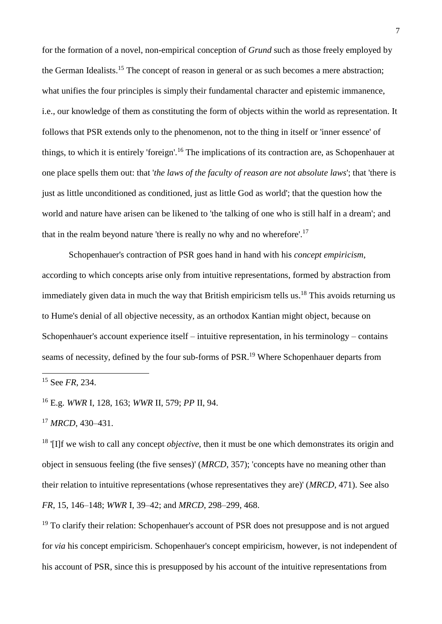for the formation of a novel, non-empirical conception of *Grund* such as those freely employed by the German Idealists.<sup>15</sup> The concept of reason in general or as such becomes a mere abstraction; what unifies the four principles is simply their fundamental character and epistemic immanence, i.e., our knowledge of them as constituting the form of objects within the world as representation. It follows that PSR extends only to the phenomenon, not to the thing in itself or 'inner essence' of things, to which it is entirely 'foreign'.<sup>16</sup> The implications of its contraction are, as Schopenhauer at one place spells them out: that '*the laws of the faculty of reason are not absolute laws*'; that 'there is just as little unconditioned as conditioned, just as little God as world'; that the question how the world and nature have arisen can be likened to 'the talking of one who is still half in a dream'; and that in the realm beyond nature 'there is really no why and no wherefore'.<sup>17</sup>

Schopenhauer's contraction of PSR goes hand in hand with his *concept empiricism*, according to which concepts arise only from intuitive representations, formed by abstraction from immediately given data in much the way that British empiricism tells us.<sup>18</sup> This avoids returning us to Hume's denial of all objective necessity, as an orthodox Kantian might object, because on Schopenhauer's account experience itself – intuitive representation, in his terminology – contains seams of necessity, defined by the four sub-forms of PSR.<sup>19</sup> Where Schopenhauer departs from

<sup>15</sup> See *FR*, 234.

-

<sup>16</sup> E.g. *WWR* I, 128, 163; *WWR* II, 579; *PP* II, 94.

<sup>17</sup> *MRCD*, 430–431.

<sup>18</sup> '[I]f we wish to call any concept *objective*, then it must be one which demonstrates its origin and object in sensuous feeling (the five senses)' (*MRCD*, 357); 'concepts have no meaning other than their relation to intuitive representations (whose representatives they are)' (*MRCD*, 471). See also *FR*, 15, 146–148; *WWR* I, 39–42; and *MRCD*, 298–299, 468.

<sup>19</sup> To clarify their relation: Schopenhauer's account of PSR does not presuppose and is not argued for *via* his concept empiricism. Schopenhauer's concept empiricism, however, is not independent of his account of PSR, since this is presupposed by his account of the intuitive representations from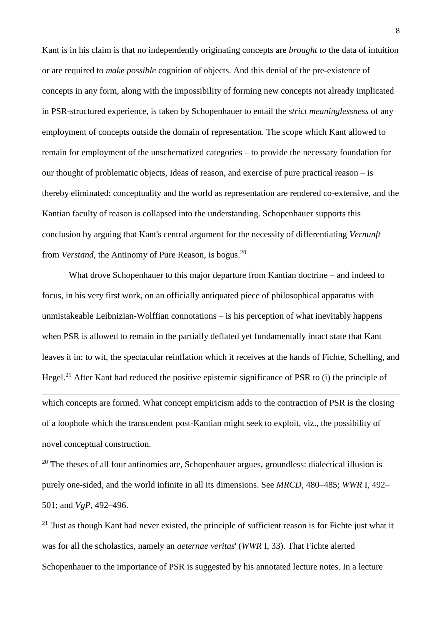Kant is in his claim is that no independently originating concepts are *brought to* the data of intuition or are required to *make possible* cognition of objects. And this denial of the pre-existence of concepts in any form, along with the impossibility of forming new concepts not already implicated in PSR-structured experience, is taken by Schopenhauer to entail the *strict meaninglessness* of any employment of concepts outside the domain of representation. The scope which Kant allowed to remain for employment of the unschematized categories – to provide the necessary foundation for our thought of problematic objects, Ideas of reason, and exercise of pure practical reason – is thereby eliminated: conceptuality and the world as representation are rendered co-extensive, and the Kantian faculty of reason is collapsed into the understanding. Schopenhauer supports this conclusion by arguing that Kant's central argument for the necessity of differentiating *Vernunft* from *Verstand*, the Antinomy of Pure Reason, is bogus.<sup>20</sup>

What drove Schopenhauer to this major departure from Kantian doctrine – and indeed to focus, in his very first work, on an officially antiquated piece of philosophical apparatus with unmistakeable Leibnizian-Wolffian connotations – is his perception of what inevitably happens when PSR is allowed to remain in the partially deflated yet fundamentally intact state that Kant leaves it in: to wit, the spectacular reinflation which it receives at the hands of Fichte, Schelling, and Hegel.<sup>21</sup> After Kant had reduced the positive epistemic significance of PSR to (i) the principle of

which concepts are formed. What concept empiricism adds to the contraction of PSR is the closing of a loophole which the transcendent post-Kantian might seek to exploit, viz., the possibility of novel conceptual construction.

1

 $20$  The theses of all four antinomies are, Schopenhauer argues, groundless: dialectical illusion is purely one-sided, and the world infinite in all its dimensions. See *MRCD*, 480–485; *WWR* I, 492– 501; and *VgP*, 492–496.

 $21$  'Just as though Kant had never existed, the principle of sufficient reason is for Fichte just what it was for all the scholastics, namely an *aeternae veritas*' (*WWR* I, 33). That Fichte alerted Schopenhauer to the importance of PSR is suggested by his annotated lecture notes. In a lecture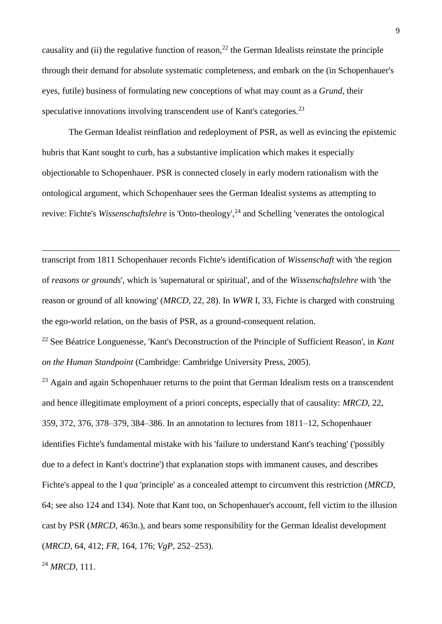causality and (ii) the regulative function of reason.<sup>22</sup> the German Idealists reinstate the principle through their demand for absolute systematic completeness, and embark on the (in Schopenhauer's eyes, futile) business of formulating new conceptions of what may count as a *Grund*, their speculative innovations involving transcendent use of Kant's categories.<sup>23</sup>

The German Idealist reinflation and redeployment of PSR, as well as evincing the epistemic hubris that Kant sought to curb, has a substantive implication which makes it especially objectionable to Schopenhauer. PSR is connected closely in early modern rationalism with the ontological argument, which Schopenhauer sees the German Idealist systems as attempting to revive: Fichte's *Wissenschaftslehre* is 'Onto-theology',<sup>24</sup> and Schelling 'venerates the ontological

transcript from 1811 Schopenhauer records Fichte's identification of *Wissenschaft* with 'the region of *reasons or grounds*', which is 'supernatural or spiritual', and of the *Wissenschaftslehre* with 'the reason or ground of all knowing' (*MRCD*, 22, 28). In *WWR* I, 33, Fichte is charged with construing the ego-world relation, on the basis of PSR, as a ground-consequent relation.

<sup>22</sup> See Béatrice Longuenesse, 'Kant's Deconstruction of the Principle of Sufficient Reason', in *Kant on the Human Standpoint* (Cambridge: Cambridge University Press, 2005).

<sup>23</sup> Again and again Schopenhauer returns to the point that German Idealism rests on a transcendent and hence illegitimate employment of a priori concepts, especially that of causality: *MRCD*, 22, 359, 372, 376, 378–379, 384–386. In an annotation to lectures from 1811–12, Schopenhauer identifies Fichte's fundamental mistake with his 'failure to understand Kant's teaching' ('possibly due to a defect in Kant's doctrine') that explanation stops with immanent causes, and describes Fichte's appeal to the I *qua* 'principle' as a concealed attempt to circumvent this restriction (*MRCD*, 64; see also 124 and 134). Note that Kant too, on Schopenhauer's account, fell victim to the illusion cast by PSR (*MRCD*, 463n.), and bears some responsibility for the German Idealist development (*MRCD*, 64, 412; *FR*, 164, 176; *VgP*, 252–253).

<sup>24</sup> *MRCD*, 111.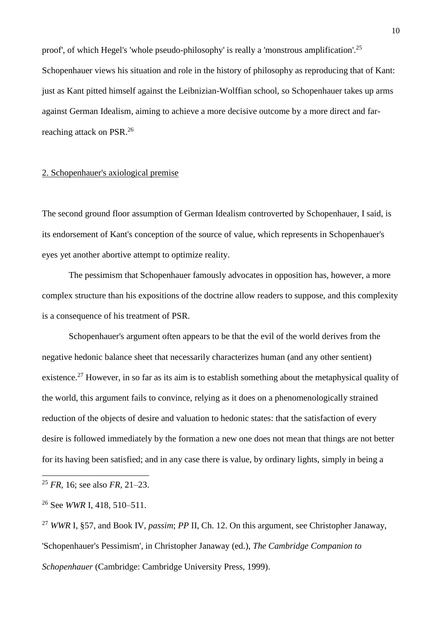proof', of which Hegel's 'whole pseudo-philosophy' is really a 'monstrous amplification'.<sup>25</sup> Schopenhauer views his situation and role in the history of philosophy as reproducing that of Kant: just as Kant pitted himself against the Leibnizian-Wolffian school, so Schopenhauer takes up arms against German Idealism, aiming to achieve a more decisive outcome by a more direct and farreaching attack on PSR.<sup>26</sup>

#### 2. Schopenhauer's axiological premise

The second ground floor assumption of German Idealism controverted by Schopenhauer, I said, is its endorsement of Kant's conception of the source of value, which represents in Schopenhauer's eyes yet another abortive attempt to optimize reality.

The pessimism that Schopenhauer famously advocates in opposition has, however, a more complex structure than his expositions of the doctrine allow readers to suppose, and this complexity is a consequence of his treatment of PSR.

Schopenhauer's argument often appears to be that the evil of the world derives from the negative hedonic balance sheet that necessarily characterizes human (and any other sentient) existence.<sup>27</sup> However, in so far as its aim is to establish something about the metaphysical quality of the world, this argument fails to convince, relying as it does on a phenomenologically strained reduction of the objects of desire and valuation to hedonic states: that the satisfaction of every desire is followed immediately by the formation a new one does not mean that things are not better for its having been satisfied; and in any case there is value, by ordinary lights, simply in being a

-

<sup>25</sup> *FR*, 16; see also *FR*, 21–23.

<sup>26</sup> See *WWR* I, 418, 510–511.

<sup>27</sup> *WWR* I, §57, and Book IV, *passim*; *PP* II, Ch. 12. On this argument, see Christopher Janaway, 'Schopenhauer's Pessimism', in Christopher Janaway (ed.), *The Cambridge Companion to Schopenhauer* (Cambridge: Cambridge University Press, 1999).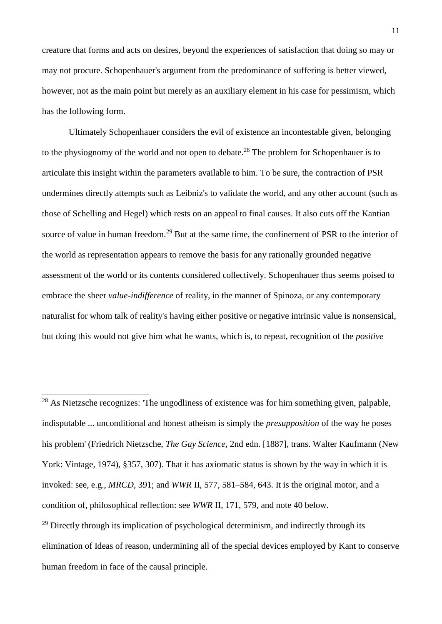creature that forms and acts on desires, beyond the experiences of satisfaction that doing so may or may not procure. Schopenhauer's argument from the predominance of suffering is better viewed, however, not as the main point but merely as an auxiliary element in his case for pessimism, which has the following form.

Ultimately Schopenhauer considers the evil of existence an incontestable given, belonging to the physiognomy of the world and not open to debate.<sup>28</sup> The problem for Schopenhauer is to articulate this insight within the parameters available to him. To be sure, the contraction of PSR undermines directly attempts such as Leibniz's to validate the world, and any other account (such as those of Schelling and Hegel) which rests on an appeal to final causes. It also cuts off the Kantian source of value in human freedom.<sup>29</sup> But at the same time, the confinement of PSR to the interior of the world as representation appears to remove the basis for any rationally grounded negative assessment of the world or its contents considered collectively. Schopenhauer thus seems poised to embrace the sheer *value-indifference* of reality, in the manner of Spinoza, or any contemporary naturalist for whom talk of reality's having either positive or negative intrinsic value is nonsensical, but doing this would not give him what he wants, which is, to repeat, recognition of the *positive*

 $^{28}$  As Nietzsche recognizes: 'The ungodliness of existence was for him something given, palpable, indisputable ... unconditional and honest atheism is simply the *presupposition* of the way he poses his problem' (Friedrich Nietzsche, *The Gay Science*, 2nd edn. [1887], trans. Walter Kaufmann (New York: Vintage, 1974), §357, 307). That it has axiomatic status is shown by the way in which it is invoked: see, e.g., *MRCD*, 391; and *WWR* II, 577, 581–584, 643. It is the original motor, and a condition of, philosophical reflection: see *WWR* II, 171, 579, and note 40 below.  $29$  Directly through its implication of psychological determinism, and indirectly through its elimination of Ideas of reason, undermining all of the special devices employed by Kant to conserve human freedom in face of the causal principle.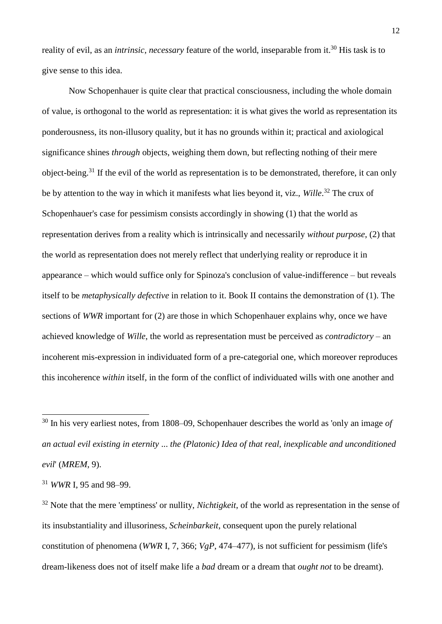reality of evil, as an *intrinsic*, *necessary* feature of the world, inseparable from it. <sup>30</sup> His task is to give sense to this idea.

Now Schopenhauer is quite clear that practical consciousness, including the whole domain of value, is orthogonal to the world as representation: it is what gives the world as representation its ponderousness, its non-illusory quality, but it has no grounds within it; practical and axiological significance shines *through* objects, weighing them down, but reflecting nothing of their mere object-being.<sup>31</sup> If the evil of the world as representation is to be demonstrated, therefore, it can only be by attention to the way in which it manifests what lies beyond it, viz., *Wille*. <sup>32</sup> The crux of Schopenhauer's case for pessimism consists accordingly in showing (1) that the world as representation derives from a reality which is intrinsically and necessarily *without purpose*, (2) that the world as representation does not merely reflect that underlying reality or reproduce it in appearance – which would suffice only for Spinoza's conclusion of value-indifference – but reveals itself to be *metaphysically defective* in relation to it. Book II contains the demonstration of (1). The sections of *WWR* important for (2) are those in which Schopenhauer explains why, once we have achieved knowledge of *Wille*, the world as representation must be perceived as *contradictory* – an incoherent mis-expression in individuated form of a pre-categorial one, which moreover reproduces this incoherence *within* itself, in the form of the conflict of individuated wills with one another and

<sup>30</sup> In his very earliest notes, from 1808–09, Schopenhauer describes the world as 'only an image *of an actual evil existing in eternity* ... *the (Platonic) Idea of that real, inexplicable and unconditioned evil*' (*MREM*, 9).

<sup>31</sup> *WWR* I, 95 and 98–99.

<sup>32</sup> Note that the mere 'emptiness' or nullity, *Nichtigkeit*, of the world as representation in the sense of its insubstantiality and illusoriness, *Scheinbarkeit*, consequent upon the purely relational constitution of phenomena (*WWR* I, 7, 366; *VgP*, 474–477), is not sufficient for pessimism (life's dream-likeness does not of itself make life a *bad* dream or a dream that *ought not* to be dreamt).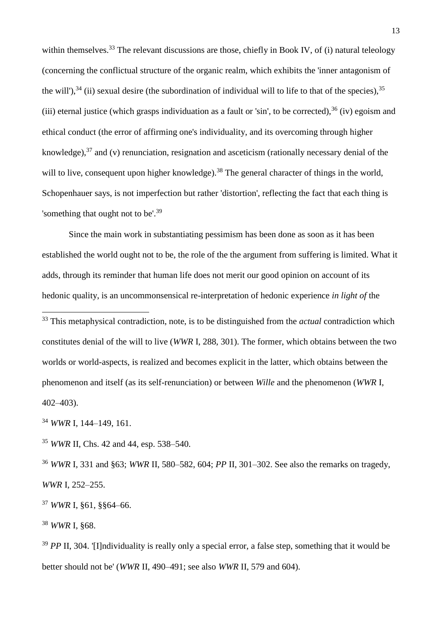within themselves.<sup>33</sup> The relevant discussions are those, chiefly in Book IV, of (i) natural teleology (concerning the conflictual structure of the organic realm, which exhibits the 'inner antagonism of the will'),<sup>34</sup> (ii) sexual desire (the subordination of individual will to life to that of the species),<sup>35</sup> (iii) eternal justice (which grasps individuation as a fault or 'sin', to be corrected),  $36$  (iv) egoism and ethical conduct (the error of affirming one's individuality, and its overcoming through higher knowledge),  $37$  and (v) renunciation, resignation and asceticism (rationally necessary denial of the will to live, consequent upon higher knowledge).<sup>38</sup> The general character of things in the world. Schopenhauer says, is not imperfection but rather 'distortion', reflecting the fact that each thing is 'something that ought not to be'.<sup>39</sup>

Since the main work in substantiating pessimism has been done as soon as it has been established the world ought not to be, the role of the the argument from suffering is limited. What it adds, through its reminder that human life does not merit our good opinion on account of its hedonic quality, is an uncommonsensical re-interpretation of hedonic experience *in light of* the

<sup>33</sup> This metaphysical contradiction, note, is to be distinguished from the *actual* contradiction which constitutes denial of the will to live (*WWR* I, 288, 301). The former, which obtains between the two worlds or world-aspects, is realized and becomes explicit in the latter, which obtains between the phenomenon and itself (as its self-renunciation) or between *Wille* and the phenomenon (*WWR* I, 402–403).

<sup>34</sup> *WWR* I, 144–149, 161.

-

<sup>35</sup> *WWR* II, Chs. 42 and 44, esp. 538–540.

<sup>36</sup> *WWR* I, 331 and §63; *WWR* II, 580–582, 604; *PP* II, 301–302. See also the remarks on tragedy, *WWR* I, 252–255.

<sup>37</sup> *WWR* I, §61, §§64–66.

<sup>38</sup> *WWR* I, §68.

<sup>39</sup> *PP* II, 304. '[I]ndividuality is really only a special error, a false step, something that it would be better should not be' (*WWR* II, 490–491; see also *WWR* II, 579 and 604).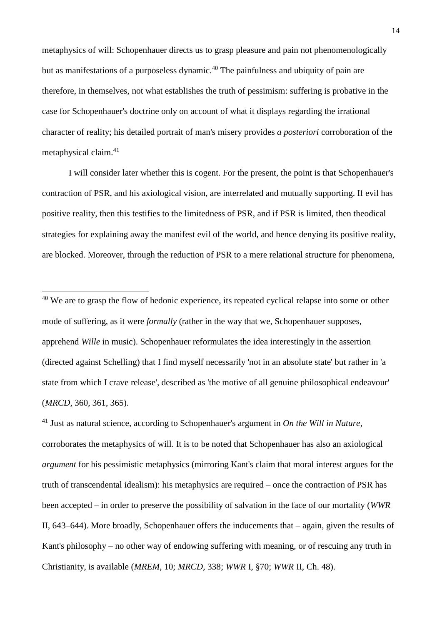metaphysics of will: Schopenhauer directs us to grasp pleasure and pain not phenomenologically but as manifestations of a purposeless dynamic.<sup>40</sup> The painfulness and ubiquity of pain are therefore, in themselves, not what establishes the truth of pessimism: suffering is probative in the case for Schopenhauer's doctrine only on account of what it displays regarding the irrational character of reality; his detailed portrait of man's misery provides *a posteriori* corroboration of the metaphysical claim. 41

I will consider later whether this is cogent. For the present, the point is that Schopenhauer's contraction of PSR, and his axiological vision, are interrelated and mutually supporting. If evil has positive reality, then this testifies to the limitedness of PSR, and if PSR is limited, then theodical strategies for explaining away the manifest evil of the world, and hence denying its positive reality, are blocked. Moreover, through the reduction of PSR to a mere relational structure for phenomena,

1

<sup>41</sup> Just as natural science, according to Schopenhauer's argument in *On the Will in Nature*, corroborates the metaphysics of will. It is to be noted that Schopenhauer has also an axiological *argument* for his pessimistic metaphysics (mirroring Kant's claim that moral interest argues for the truth of transcendental idealism): his metaphysics are required – once the contraction of PSR has been accepted – in order to preserve the possibility of salvation in the face of our mortality (*WWR* II, 643–644). More broadly, Schopenhauer offers the inducements that – again, given the results of Kant's philosophy – no other way of endowing suffering with meaning, or of rescuing any truth in Christianity, is available (*MREM*, 10; *MRCD*, 338; *WWR* I, §70; *WWR* II, Ch. 48).

<sup>&</sup>lt;sup>40</sup> We are to grasp the flow of hedonic experience, its repeated cyclical relapse into some or other mode of suffering, as it were *formally* (rather in the way that we, Schopenhauer supposes, apprehend *Wille* in music). Schopenhauer reformulates the idea interestingly in the assertion (directed against Schelling) that I find myself necessarily 'not in an absolute state' but rather in 'a state from which I crave release', described as 'the motive of all genuine philosophical endeavour' (*MRCD*, 360, 361, 365).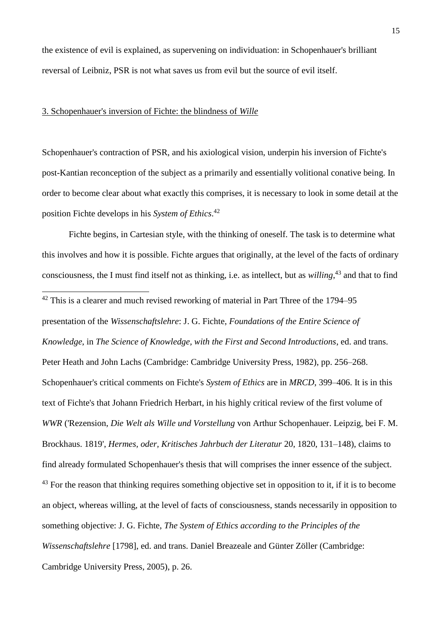the existence of evil is explained, as supervening on individuation: in Schopenhauer's brilliant reversal of Leibniz, PSR is not what saves us from evil but the source of evil itself.

### 3. Schopenhauer's inversion of Fichte: the blindness of *Wille*

1

Schopenhauer's contraction of PSR, and his axiological vision, underpin his inversion of Fichte's post-Kantian reconception of the subject as a primarily and essentially volitional conative being. In order to become clear about what exactly this comprises, it is necessary to look in some detail at the position Fichte develops in his *System of Ethics*. 42

Fichte begins, in Cartesian style, with the thinking of oneself. The task is to determine what this involves and how it is possible. Fichte argues that originally, at the level of the facts of ordinary consciousness, the I must find itself not as thinking, i.e. as intellect, but as *willing*, <sup>43</sup> and that to find

<sup>42</sup> This is a clearer and much revised reworking of material in Part Three of the 1794–95 presentation of the *Wissenschaftslehre*: J. G. Fichte, *Foundations of the Entire Science of Knowledge*, in *The Science of Knowledge, with the First and Second Introductions*, ed. and trans. Peter Heath and John Lachs (Cambridge: Cambridge University Press, 1982), pp. 256–268. Schopenhauer's critical comments on Fichte's *System of Ethics* are in *MRCD*, 399–406. It is in this text of Fichte's that Johann Friedrich Herbart, in his highly critical review of the first volume of *WWR* ('Rezension, *Die Welt als Wille und Vorstellung* von Arthur Schopenhauer. Leipzig, bei F. M. Brockhaus. 1819', *Hermes, oder, Kritisches Jahrbuch der Literatur* 20, 1820, 131–148), claims to find already formulated Schopenhauer's thesis that will comprises the inner essence of the subject.  $43$  For the reason that thinking requires something objective set in opposition to it, if it is to become an object, whereas willing, at the level of facts of consciousness, stands necessarily in opposition to something objective: J. G. Fichte, *The System of Ethics according to the Principles of the Wissenschaftslehre* [1798], ed. and trans. Daniel Breazeale and Günter Zöller (Cambridge: Cambridge University Press, 2005), p. 26.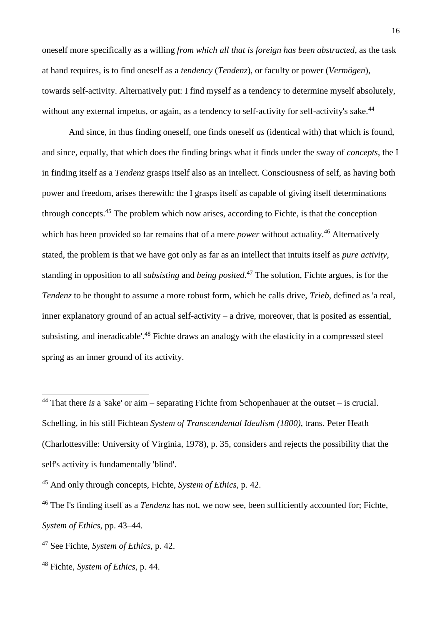oneself more specifically as a willing *from which all that is foreign has been abstracted*, as the task at hand requires, is to find oneself as a *tendency* (*Tendenz*), or faculty or power (*Vermögen*), towards self-activity. Alternatively put: I find myself as a tendency to determine myself absolutely, without any external impetus, or again, as a tendency to self-activity for self-activity's sake.<sup>44</sup>

And since, in thus finding oneself, one finds oneself *as* (identical with) that which is found, and since, equally, that which does the finding brings what it finds under the sway of *concepts*, the I in finding itself as a *Tendenz* grasps itself also as an intellect. Consciousness of self, as having both power and freedom, arises therewith: the I grasps itself as capable of giving itself determinations through concepts.<sup>45</sup> The problem which now arises, according to Fichte, is that the conception which has been provided so far remains that of a mere *power* without actuality.<sup>46</sup> Alternatively stated, the problem is that we have got only as far as an intellect that intuits itself as *pure activity*, standing in opposition to all *subsisting* and *being posited*. <sup>47</sup> The solution, Fichte argues, is for the *Tendenz* to be thought to assume a more robust form, which he calls drive, *Trieb*, defined as 'a real, inner explanatory ground of an actual self-activity – a drive, moreover, that is posited as essential, subsisting, and ineradicable'.<sup>48</sup> Fichte draws an analogy with the elasticity in a compressed steel spring as an inner ground of its activity.

<sup>44</sup> That there *is* a 'sake' or aim – separating Fichte from Schopenhauer at the outset – is crucial. Schelling, in his still Fichtean *System of Transcendental Idealism (1800)*, trans. Peter Heath (Charlottesville: University of Virginia, 1978), p. 35, considers and rejects the possibility that the self's activity is fundamentally 'blind'.

<sup>45</sup> And only through concepts, Fichte, *System of Ethics*, p. 42.

<sup>46</sup> The I's finding itself as a *Tendenz* has not, we now see, been sufficiently accounted for; Fichte, *System of Ethics*, pp. 43–44.

<sup>47</sup> See Fichte, *System of Ethics*, p. 42.

<sup>48</sup> Fichte, *System of Ethics*, p. 44.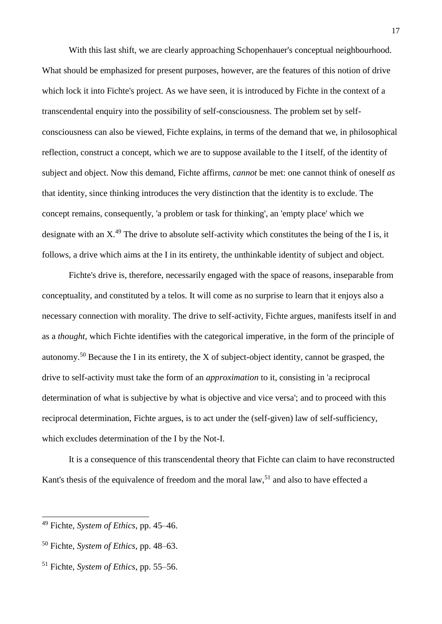With this last shift, we are clearly approaching Schopenhauer's conceptual neighbourhood. What should be emphasized for present purposes, however, are the features of this notion of drive which lock it into Fichte's project. As we have seen, it is introduced by Fichte in the context of a transcendental enquiry into the possibility of self-consciousness. The problem set by selfconsciousness can also be viewed, Fichte explains, in terms of the demand that we, in philosophical reflection, construct a concept, which we are to suppose available to the I itself, of the identity of subject and object. Now this demand, Fichte affirms, *cannot* be met: one cannot think of oneself *as* that identity, since thinking introduces the very distinction that the identity is to exclude. The concept remains, consequently, 'a problem or task for thinking', an 'empty place' which we designate with an  $X^{49}$ . The drive to absolute self-activity which constitutes the being of the I is, it follows, a drive which aims at the I in its entirety, the unthinkable identity of subject and object.

Fichte's drive is, therefore, necessarily engaged with the space of reasons, inseparable from conceptuality, and constituted by a telos. It will come as no surprise to learn that it enjoys also a necessary connection with morality. The drive to self-activity, Fichte argues, manifests itself in and as a *thought*, which Fichte identifies with the categorical imperative, in the form of the principle of autonomy.<sup>50</sup> Because the I in its entirety, the X of subject-object identity, cannot be grasped, the drive to self-activity must take the form of an *approximation* to it, consisting in 'a reciprocal determination of what is subjective by what is objective and vice versa'; and to proceed with this reciprocal determination, Fichte argues, is to act under the (self-given) law of self-sufficiency, which excludes determination of the I by the Not-I.

It is a consequence of this transcendental theory that Fichte can claim to have reconstructed Kant's thesis of the equivalence of freedom and the moral law,<sup>51</sup> and also to have effected a

<sup>49</sup> Fichte, *System of Ethics*, pp. 45–46.

<sup>50</sup> Fichte, *System of Ethics*, pp. 48–63.

<sup>51</sup> Fichte, *System of Ethics*, pp. 55–56.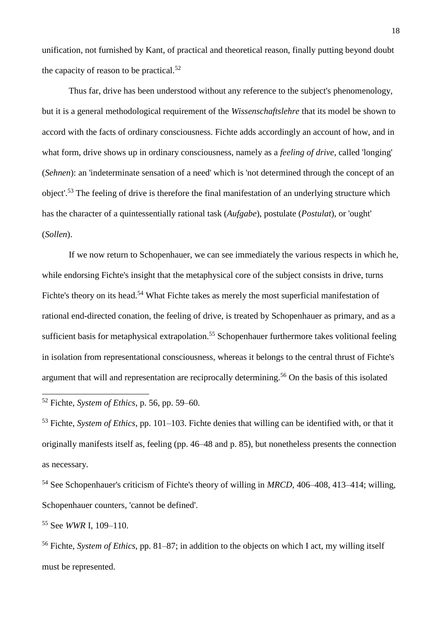unification, not furnished by Kant, of practical and theoretical reason, finally putting beyond doubt the capacity of reason to be practical.<sup>52</sup>

Thus far, drive has been understood without any reference to the subject's phenomenology, but it is a general methodological requirement of the *Wissenschaftslehre* that its model be shown to accord with the facts of ordinary consciousness. Fichte adds accordingly an account of how, and in what form, drive shows up in ordinary consciousness, namely as a *feeling of drive*, called 'longing' (*Sehnen*): an 'indeterminate sensation of a need' which is 'not determined through the concept of an object'.<sup>53</sup> The feeling of drive is therefore the final manifestation of an underlying structure which has the character of a quintessentially rational task (*Aufgabe*), postulate (*Postulat*), or 'ought' (*Sollen*).

If we now return to Schopenhauer, we can see immediately the various respects in which he, while endorsing Fichte's insight that the metaphysical core of the subject consists in drive, turns Fichte's theory on its head.<sup>54</sup> What Fichte takes as merely the most superficial manifestation of rational end-directed conation, the feeling of drive, is treated by Schopenhauer as primary, and as a sufficient basis for metaphysical extrapolation.<sup>55</sup> Schopenhauer furthermore takes volitional feeling in isolation from representational consciousness, whereas it belongs to the central thrust of Fichte's argument that will and representation are reciprocally determining.<sup>56</sup> On the basis of this isolated

<sup>53</sup> Fichte, *System of Ethics*, pp. 101–103. Fichte denies that willing can be identified with, or that it originally manifests itself as, feeling (pp. 46–48 and p. 85), but nonetheless presents the connection as necessary.

<sup>54</sup> See Schopenhauer's criticism of Fichte's theory of willing in *MRCD*, 406–408, 413–414; willing, Schopenhauer counters, 'cannot be defined'.

<sup>55</sup> See *WWR* I, 109–110.

1

<sup>56</sup> Fichte, *System of Ethics*, pp. 81–87; in addition to the objects on which I act, my willing itself must be represented.

<sup>52</sup> Fichte, *System of Ethics*, p. 56, pp. 59–60.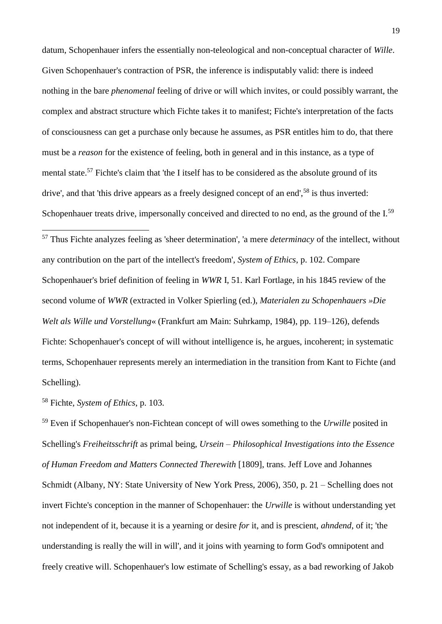datum, Schopenhauer infers the essentially non-teleological and non-conceptual character of *Wille*. Given Schopenhauer's contraction of PSR, the inference is indisputably valid: there is indeed nothing in the bare *phenomenal* feeling of drive or will which invites, or could possibly warrant, the complex and abstract structure which Fichte takes it to manifest; Fichte's interpretation of the facts of consciousness can get a purchase only because he assumes, as PSR entitles him to do, that there must be a *reason* for the existence of feeling, both in general and in this instance, as a type of mental state.<sup>57</sup> Fichte's claim that 'the I itself has to be considered as the absolute ground of its drive', and that 'this drive appears as a freely designed concept of an end',<sup>58</sup> is thus inverted: Schopenhauer treats drive, impersonally conceived and directed to no end, as the ground of the I.<sup>59</sup>

<sup>57</sup> Thus Fichte analyzes feeling as 'sheer determination', 'a mere *determinacy* of the intellect, without any contribution on the part of the intellect's freedom', *System of Ethics*, p. 102. Compare Schopenhauer's brief definition of feeling in *WWR* I, 51. Karl Fortlage, in his 1845 review of the second volume of *WWR* (extracted in Volker Spierling (ed.), *Materialen zu Schopenhauers »Die Welt als Wille und Vorstellung*« (Frankfurt am Main: Suhrkamp, 1984), pp. 119–126), defends Fichte: Schopenhauer's concept of will without intelligence is, he argues, incoherent; in systematic terms, Schopenhauer represents merely an intermediation in the transition from Kant to Fichte (and Schelling).

<sup>58</sup> Fichte, *System of Ethics*, p. 103.

1

<sup>59</sup> Even if Schopenhauer's non-Fichtean concept of will owes something to the *Urwille* posited in Schelling's *Freiheitsschrift* as primal being, *Ursein* – *Philosophical Investigations into the Essence of Human Freedom and Matters Connected Therewith* [1809], trans. Jeff Love and Johannes Schmidt (Albany, NY: State University of New York Press, 2006), 350, p. 21 – Schelling does not invert Fichte's conception in the manner of Schopenhauer: the *Urwille* is without understanding yet not independent of it, because it is a yearning or desire *for* it, and is prescient, *ahndend*, of it; 'the understanding is really the will in will', and it joins with yearning to form God's omnipotent and freely creative will. Schopenhauer's low estimate of Schelling's essay, as a bad reworking of Jakob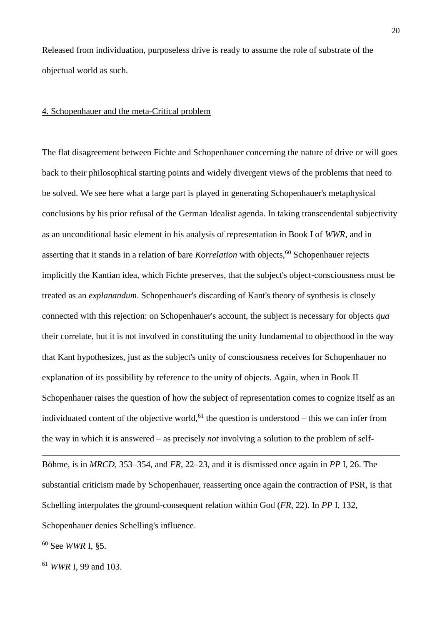Released from individuation, purposeless drive is ready to assume the role of substrate of the objectual world as such.

## 4. Schopenhauer and the meta-Critical problem

The flat disagreement between Fichte and Schopenhauer concerning the nature of drive or will goes back to their philosophical starting points and widely divergent views of the problems that need to be solved. We see here what a large part is played in generating Schopenhauer's metaphysical conclusions by his prior refusal of the German Idealist agenda. In taking transcendental subjectivity as an unconditional basic element in his analysis of representation in Book I of *WWR*, and in asserting that it stands in a relation of bare *Korrelation* with objects,<sup>60</sup> Schopenhauer rejects implicitly the Kantian idea, which Fichte preserves, that the subject's object-consciousness must be treated as an *explanandum*. Schopenhauer's discarding of Kant's theory of synthesis is closely connected with this rejection: on Schopenhauer's account, the subject is necessary for objects *qua* their correlate, but it is not involved in constituting the unity fundamental to objecthood in the way that Kant hypothesizes, just as the subject's unity of consciousness receives for Schopenhauer no explanation of its possibility by reference to the unity of objects. Again, when in Book II Schopenhauer raises the question of how the subject of representation comes to cognize itself as an individuated content of the objective world,<sup>61</sup> the question is understood – this we can infer from the way in which it is answered – as precisely *not* involving a solution to the problem of self-

Böhme, is in *MRCD*, 353–354, and *FR*, 22–23, and it is dismissed once again in *PP* I, 26. The substantial criticism made by Schopenhauer, reasserting once again the contraction of PSR, is that Schelling interpolates the ground-consequent relation within God (*FR*, 22). In *PP* I, 132, Schopenhauer denies Schelling's influence.

<sup>60</sup> See *WWR* I, §5.

1

<sup>61</sup> *WWR* I, 99 and 103.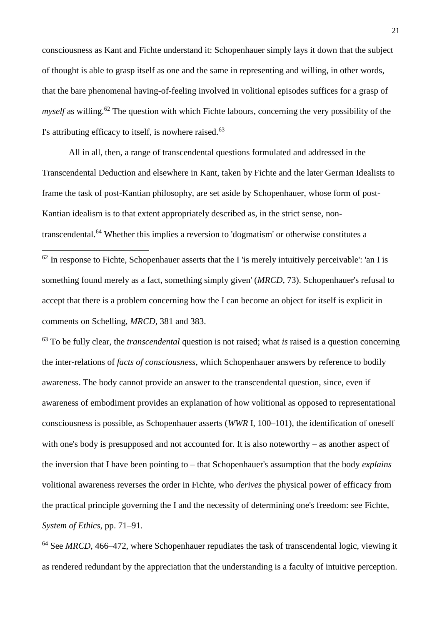consciousness as Kant and Fichte understand it: Schopenhauer simply lays it down that the subject of thought is able to grasp itself as one and the same in representing and willing, in other words, that the bare phenomenal having-of-feeling involved in volitional episodes suffices for a grasp of *myself* as willing.<sup>62</sup> The question with which Fichte labours, concerning the very possibility of the I's attributing efficacy to itself, is nowhere raised. $63$ 

All in all, then, a range of transcendental questions formulated and addressed in the Transcendental Deduction and elsewhere in Kant, taken by Fichte and the later German Idealists to frame the task of post-Kantian philosophy, are set aside by Schopenhauer, whose form of post-Kantian idealism is to that extent appropriately described as, in the strict sense, nontranscendental.<sup>64</sup> Whether this implies a reversion to 'dogmatism' or otherwise constitutes a

1

<sup>63</sup> To be fully clear, the *transcendental* question is not raised; what *is* raised is a question concerning the inter-relations of *facts of consciousness*, which Schopenhauer answers by reference to bodily awareness. The body cannot provide an answer to the transcendental question, since, even if awareness of embodiment provides an explanation of how volitional as opposed to representational consciousness is possible, as Schopenhauer asserts (*WWR* I, 100–101), the identification of oneself with one's body is presupposed and not accounted for. It is also noteworthy – as another aspect of the inversion that I have been pointing to – that Schopenhauer's assumption that the body *explains* volitional awareness reverses the order in Fichte, who *derives* the physical power of efficacy from the practical principle governing the I and the necessity of determining one's freedom: see Fichte, *System of Ethics*, pp. 71–91.

<sup>64</sup> See *MRCD*, 466–472, where Schopenhauer repudiates the task of transcendental logic, viewing it as rendered redundant by the appreciation that the understanding is a faculty of intuitive perception.

 $62$  In response to Fichte, Schopenhauer asserts that the I 'is merely intuitively perceivable': 'an I is something found merely as a fact, something simply given' (*MRCD*, 73). Schopenhauer's refusal to accept that there is a problem concerning how the I can become an object for itself is explicit in comments on Schelling, *MRCD*, 381 and 383.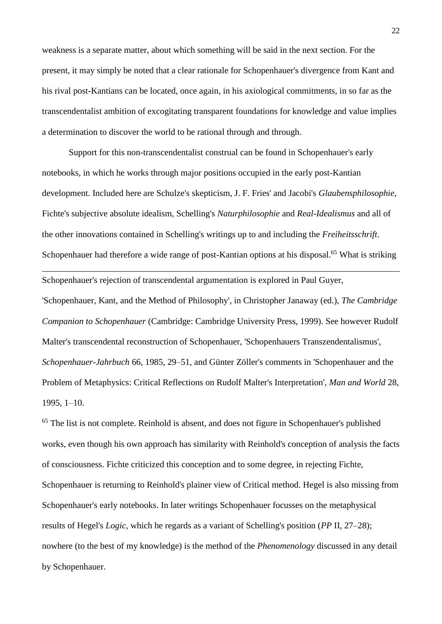weakness is a separate matter, about which something will be said in the next section. For the present, it may simply be noted that a clear rationale for Schopenhauer's divergence from Kant and his rival post-Kantians can be located, once again, in his axiological commitments, in so far as the transcendentalist ambition of excogitating transparent foundations for knowledge and value implies a determination to discover the world to be rational through and through.

Support for this non-transcendentalist construal can be found in Schopenhauer's early notebooks, in which he works through major positions occupied in the early post-Kantian development. Included here are Schulze's skepticism, J. F. Fries' and Jacobi's *Glaubensphilosophie*, Fichte's subjective absolute idealism, Schelling's *Naturphilosophie* and *Real-Idealismus* and all of the other innovations contained in Schelling's writings up to and including the *Freiheitsschrift*. Schopenhauer had therefore a wide range of post-Kantian options at his disposal.<sup>65</sup> What is striking

Schopenhauer's rejection of transcendental argumentation is explored in Paul Guyer,

-

'Schopenhauer, Kant, and the Method of Philosophy', in Christopher Janaway (ed.), *The Cambridge Companion to Schopenhauer* (Cambridge: Cambridge University Press, 1999). See however Rudolf Malter's transcendental reconstruction of Schopenhauer, 'Schopenhauers Transzendentalismus', *Schopenhauer-Jahrbuch* 66, 1985, 29–51, and Günter Zöller's comments in 'Schopenhauer and the Problem of Metaphysics: Critical Reflections on Rudolf Malter's Interpretation', *Man and World* 28, 1995, 1–10.

<sup>65</sup> The list is not complete. Reinhold is absent, and does not figure in Schopenhauer's published works, even though his own approach has similarity with Reinhold's conception of analysis the facts of consciousness. Fichte criticized this conception and to some degree, in rejecting Fichte, Schopenhauer is returning to Reinhold's plainer view of Critical method. Hegel is also missing from Schopenhauer's early notebooks. In later writings Schopenhauer focusses on the metaphysical results of Hegel's *Logic*, which he regards as a variant of Schelling's position (*PP* II, 27–28); nowhere (to the best of my knowledge) is the method of the *Phenomenology* discussed in any detail by Schopenhauer.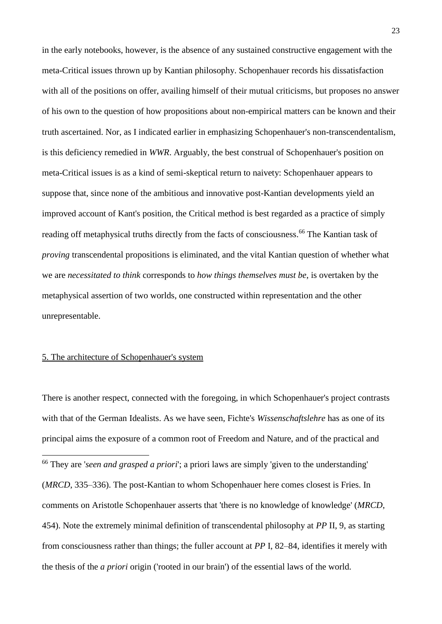in the early notebooks, however, is the absence of any sustained constructive engagement with the meta-Critical issues thrown up by Kantian philosophy. Schopenhauer records his dissatisfaction with all of the positions on offer, availing himself of their mutual criticisms, but proposes no answer of his own to the question of how propositions about non-empirical matters can be known and their truth ascertained. Nor, as I indicated earlier in emphasizing Schopenhauer's non-transcendentalism, is this deficiency remedied in *WWR*. Arguably, the best construal of Schopenhauer's position on meta-Critical issues is as a kind of semi-skeptical return to naivety: Schopenhauer appears to suppose that, since none of the ambitious and innovative post-Kantian developments yield an improved account of Kant's position, the Critical method is best regarded as a practice of simply reading off metaphysical truths directly from the facts of consciousness.<sup>66</sup> The Kantian task of *proving* transcendental propositions is eliminated, and the vital Kantian question of whether what we are *necessitated to think* corresponds to *how things themselves must be*, is overtaken by the metaphysical assertion of two worlds, one constructed within representation and the other unrepresentable.

### 5. The architecture of Schopenhauer's system

There is another respect, connected with the foregoing, in which Schopenhauer's project contrasts with that of the German Idealists. As we have seen, Fichte's *Wissenschaftslehre* has as one of its principal aims the exposure of a common root of Freedom and Nature, and of the practical and 1 <sup>66</sup> They are '*seen and grasped a priori*'; a priori laws are simply 'given to the understanding' (*MRCD*, 335–336). The post-Kantian to whom Schopenhauer here comes closest is Fries. In comments on Aristotle Schopenhauer asserts that 'there is no knowledge of knowledge' (*MRCD*, 454). Note the extremely minimal definition of transcendental philosophy at *PP* II, 9, as starting from consciousness rather than things; the fuller account at *PP* I, 82–84, identifies it merely with the thesis of the *a priori* origin ('rooted in our brain') of the essential laws of the world.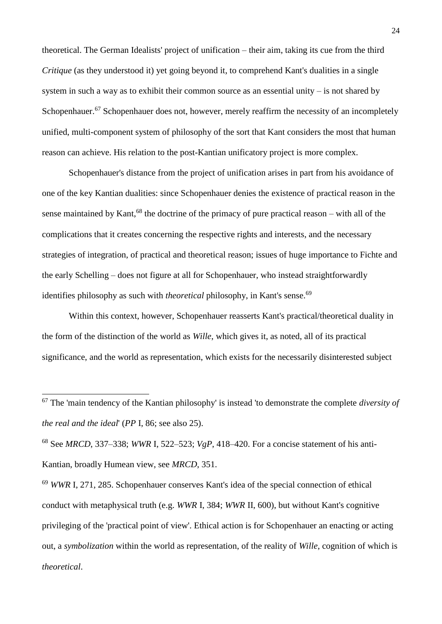theoretical. The German Idealists' project of unification – their aim, taking its cue from the third *Critique* (as they understood it) yet going beyond it, to comprehend Kant's dualities in a single system in such a way as to exhibit their common source as an essential unity – is not shared by Schopenhauer.<sup>67</sup> Schopenhauer does not, however, merely reaffirm the necessity of an incompletely unified, multi-component system of philosophy of the sort that Kant considers the most that human reason can achieve. His relation to the post-Kantian unificatory project is more complex.

Schopenhauer's distance from the project of unification arises in part from his avoidance of one of the key Kantian dualities: since Schopenhauer denies the existence of practical reason in the sense maintained by Kant,<sup>68</sup> the doctrine of the primacy of pure practical reason – with all of the complications that it creates concerning the respective rights and interests, and the necessary strategies of integration, of practical and theoretical reason; issues of huge importance to Fichte and the early Schelling – does not figure at all for Schopenhauer, who instead straightforwardly identifies philosophy as such with *theoretical* philosophy, in Kant's sense.<sup>69</sup>

Within this context, however, Schopenhauer reasserts Kant's practical/theoretical duality in the form of the distinction of the world as *Wille*, which gives it, as noted, all of its practical significance, and the world as representation, which exists for the necessarily disinterested subject

<sup>67</sup> The 'main tendency of the Kantian philosophy' is instead 'to demonstrate the complete *diversity of the real and the ideal*' (*PP* I, 86; see also 25).

<sup>68</sup> See *MRCD*, 337–338; *WWR* I, 522–523; *VgP*, 418–420. For a concise statement of his anti-Kantian, broadly Humean view, see *MRCD*, 351.

<sup>69</sup> *WWR* I, 271, 285. Schopenhauer conserves Kant's idea of the special connection of ethical conduct with metaphysical truth (e.g. *WWR* I, 384; *WWR* II, 600), but without Kant's cognitive privileging of the 'practical point of view'. Ethical action is for Schopenhauer an enacting or acting out, a *symbolization* within the world as representation, of the reality of *Wille*, cognition of which is *theoretical*.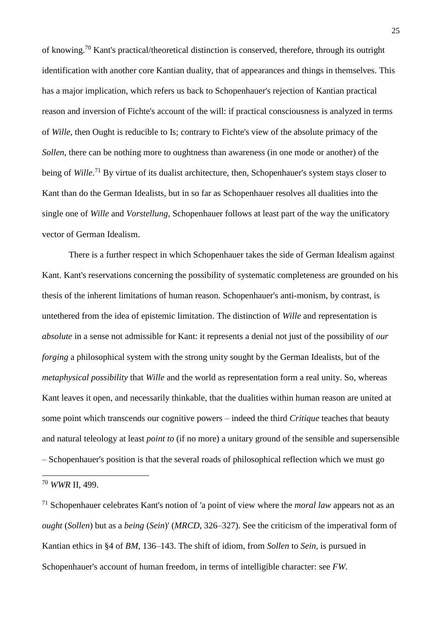of knowing.<sup>70</sup> Kant's practical/theoretical distinction is conserved, therefore, through its outright identification with another core Kantian duality, that of appearances and things in themselves. This has a major implication, which refers us back to Schopenhauer's rejection of Kantian practical reason and inversion of Fichte's account of the will: if practical consciousness is analyzed in terms of *Wille*, then Ought is reducible to Is; contrary to Fichte's view of the absolute primacy of the *Sollen*, there can be nothing more to oughtness than awareness (in one mode or another) of the being of *Wille*. <sup>71</sup> By virtue of its dualist architecture, then, Schopenhauer's system stays closer to Kant than do the German Idealists, but in so far as Schopenhauer resolves all dualities into the single one of *Wille* and *Vorstellung*, Schopenhauer follows at least part of the way the unificatory vector of German Idealism.

There is a further respect in which Schopenhauer takes the side of German Idealism against Kant. Kant's reservations concerning the possibility of systematic completeness are grounded on his thesis of the inherent limitations of human reason. Schopenhauer's anti-monism, by contrast, is untethered from the idea of epistemic limitation. The distinction of *Wille* and representation is *absolute* in a sense not admissible for Kant: it represents a denial not just of the possibility of *our forging* a philosophical system with the strong unity sought by the German Idealists, but of the *metaphysical possibility* that *Wille* and the world as representation form a real unity. So, whereas Kant leaves it open, and necessarily thinkable, that the dualities within human reason are united at some point which transcends our cognitive powers – indeed the third *Critique* teaches that beauty and natural teleology at least *point to* (if no more) a unitary ground of the sensible and supersensible – Schopenhauer's position is that the several roads of philosophical reflection which we must go

-

<sup>70</sup> *WWR* II, 499.

<sup>71</sup> Schopenhauer celebrates Kant's notion of 'a point of view where the *moral law* appears not as an *ought* (*Sollen*) but as a *being* (*Sein*)' (*MRCD*, 326–327). See the criticism of the imperatival form of Kantian ethics in §4 of *BM*, 136–143. The shift of idiom, from *Sollen* to *Sein*, is pursued in Schopenhauer's account of human freedom, in terms of intelligible character: see *FW*.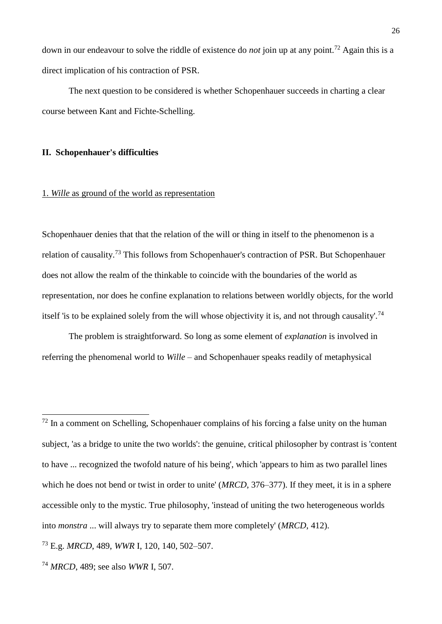down in our endeavour to solve the riddle of existence do *not* join up at any point.<sup>72</sup> Again this is a direct implication of his contraction of PSR.

The next question to be considered is whether Schopenhauer succeeds in charting a clear course between Kant and Fichte-Schelling.

## **II. Schopenhauer's difficulties**

### 1. *Wille* as ground of the world as representation

Schopenhauer denies that that the relation of the will or thing in itself to the phenomenon is a relation of causality.<sup>73</sup> This follows from Schopenhauer's contraction of PSR. But Schopenhauer does not allow the realm of the thinkable to coincide with the boundaries of the world as representation, nor does he confine explanation to relations between worldly objects, for the world itself 'is to be explained solely from the will whose objectivity it is, and not through causality'.<sup>74</sup>

The problem is straightforward. So long as some element of *explanation* is involved in referring the phenomenal world to *Wille* – and Schopenhauer speaks readily of metaphysical

 $72$  In a comment on Schelling, Schopenhauer complains of his forcing a false unity on the human subject, 'as a bridge to unite the two worlds': the genuine, critical philosopher by contrast is 'content to have ... recognized the twofold nature of his being', which 'appears to him as two parallel lines which he does not bend or twist in order to unite' (*MRCD*, 376–377). If they meet, it is in a sphere accessible only to the mystic. True philosophy, 'instead of uniting the two heterogeneous worlds into *monstra* ... will always try to separate them more completely' (*MRCD*, 412).

<sup>73</sup> E.g. *MRCD*, 489, *WWR* I, 120, 140, 502–507.

<sup>74</sup> *MRCD*, 489; see also *WWR* I, 507.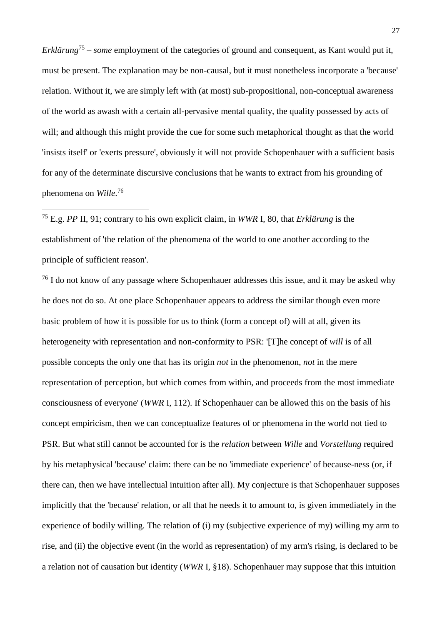*Erklärung*<sup>75</sup> – *some* employment of the categories of ground and consequent, as Kant would put it, must be present. The explanation may be non-causal, but it must nonetheless incorporate a 'because' relation. Without it, we are simply left with (at most) sub-propositional, non-conceptual awareness of the world as awash with a certain all-pervasive mental quality, the quality possessed by acts of will; and although this might provide the cue for some such metaphorical thought as that the world 'insists itself' or 'exerts pressure', obviously it will not provide Schopenhauer with a sufficient basis for any of the determinate discursive conclusions that he wants to extract from his grounding of phenomena on *Wille*. 76

<sup>75</sup> E.g. *PP* II, 91; contrary to his own explicit claim, in *WWR* I, 80, that *Erklärung* is the establishment of 'the relation of the phenomena of the world to one another according to the principle of sufficient reason'.

-

 $76$  I do not know of any passage where Schopenhauer addresses this issue, and it may be asked why he does not do so. At one place Schopenhauer appears to address the similar though even more basic problem of how it is possible for us to think (form a concept of) will at all, given its heterogeneity with representation and non-conformity to PSR: '[T]he concept of *will* is of all possible concepts the only one that has its origin *not* in the phenomenon, *not* in the mere representation of perception, but which comes from within, and proceeds from the most immediate consciousness of everyone' (*WWR* I, 112). If Schopenhauer can be allowed this on the basis of his concept empiricism, then we can conceptualize features of or phenomena in the world not tied to PSR. But what still cannot be accounted for is the *relation* between *Wille* and *Vorstellung* required by his metaphysical 'because' claim: there can be no 'immediate experience' of because-ness (or, if there can, then we have intellectual intuition after all). My conjecture is that Schopenhauer supposes implicitly that the 'because' relation, or all that he needs it to amount to, is given immediately in the experience of bodily willing. The relation of (i) my (subjective experience of my) willing my arm to rise, and (ii) the objective event (in the world as representation) of my arm's rising, is declared to be a relation not of causation but identity (*WWR* I, §18). Schopenhauer may suppose that this intuition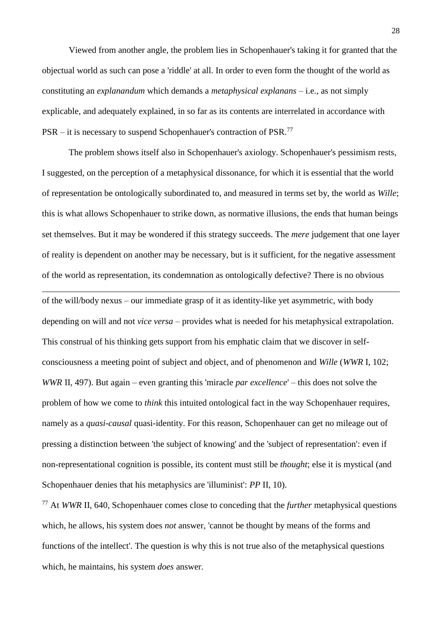Viewed from another angle, the problem lies in Schopenhauer's taking it for granted that the objectual world as such can pose a 'riddle' at all. In order to even form the thought of the world as constituting an *explanandum* which demands a *metaphysical explanans* – i.e., as not simply explicable, and adequately explained, in so far as its contents are interrelated in accordance with PSR – it is necessary to suspend Schopenhauer's contraction of PSR.<sup>77</sup>

The problem shows itself also in Schopenhauer's axiology. Schopenhauer's pessimism rests, I suggested, on the perception of a metaphysical dissonance, for which it is essential that the world of representation be ontologically subordinated to, and measured in terms set by, the world as *Wille*; this is what allows Schopenhauer to strike down, as normative illusions, the ends that human beings set themselves. But it may be wondered if this strategy succeeds. The *mere* judgement that one layer of reality is dependent on another may be necessary, but is it sufficient, for the negative assessment of the world as representation, its condemnation as ontologically defective? There is no obvious

1

of the will/body nexus – our immediate grasp of it as identity-like yet asymmetric, with body depending on will and not *vice versa* – provides what is needed for his metaphysical extrapolation. This construal of his thinking gets support from his emphatic claim that we discover in selfconsciousness a meeting point of subject and object, and of phenomenon and *Wille* (*WWR* I, 102; *WWR* II, 497). But again – even granting this 'miracle *par excellence*' – this does not solve the problem of how we come to *think* this intuited ontological fact in the way Schopenhauer requires, namely as a *quasi-causal* quasi-identity. For this reason, Schopenhauer can get no mileage out of pressing a distinction between 'the subject of knowing' and the 'subject of representation': even if non-representational cognition is possible, its content must still be *thought*; else it is mystical (and Schopenhauer denies that his metaphysics are 'illuminist': *PP* II, 10).

<sup>77</sup> At *WWR* II, 640, Schopenhauer comes close to conceding that the *further* metaphysical questions which, he allows, his system does *not* answer, 'cannot be thought by means of the forms and functions of the intellect'. The question is why this is not true also of the metaphysical questions which, he maintains, his system *does* answer.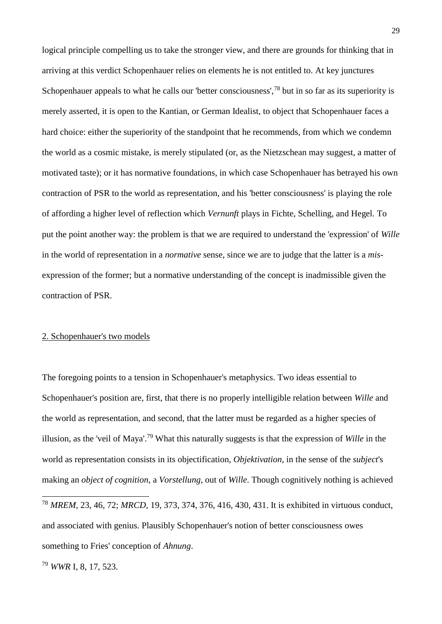logical principle compelling us to take the stronger view, and there are grounds for thinking that in arriving at this verdict Schopenhauer relies on elements he is not entitled to. At key junctures Schopenhauer appeals to what he calls our 'better consciousness',<sup>78</sup> but in so far as its superiority is merely asserted, it is open to the Kantian, or German Idealist, to object that Schopenhauer faces a hard choice: either the superiority of the standpoint that he recommends, from which we condemn the world as a cosmic mistake, is merely stipulated (or, as the Nietzschean may suggest, a matter of motivated taste); or it has normative foundations, in which case Schopenhauer has betrayed his own contraction of PSR to the world as representation, and his 'better consciousness' is playing the role of affording a higher level of reflection which *Vernunft* plays in Fichte, Schelling, and Hegel. To put the point another way: the problem is that we are required to understand the 'expression' of *Wille* in the world of representation in a *normative* sense, since we are to judge that the latter is a *mis*expression of the former; but a normative understanding of the concept is inadmissible given the contraction of PSR.

# 2. Schopenhauer's two models

The foregoing points to a tension in Schopenhauer's metaphysics. Two ideas essential to Schopenhauer's position are, first, that there is no properly intelligible relation between *Wille* and the world as representation, and second, that the latter must be regarded as a higher species of illusion, as the 'veil of Maya'. <sup>79</sup> What this naturally suggests is that the expression of *Wille* in the world as representation consists in its objectification, *Objektivation*, in the sense of the *subject*'s making an *object of cognition*, a *Vorstellung*, out of *Wille*. Though cognitively nothing is achieved

<sup>79</sup> *WWR* I, 8, 17, 523.

-

<sup>78</sup> *MREM*, 23, 46, 72; *MRCD*, 19, 373, 374, 376, 416, 430, 431. It is exhibited in virtuous conduct, and associated with genius. Plausibly Schopenhauer's notion of better consciousness owes something to Fries' conception of *Ahnung*.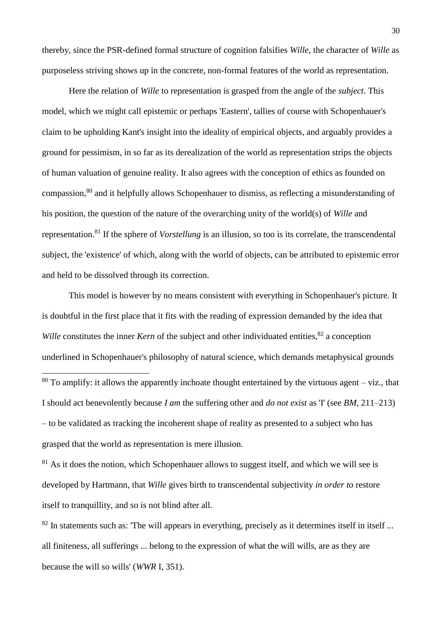thereby, since the PSR-defined formal structure of cognition falsifies *Wille*, the character of *Wille* as purposeless striving shows up in the concrete, non-formal features of the world as representation.

Here the relation of *Wille* to representation is grasped from the angle of the *subject*. This model, which we might call epistemic or perhaps 'Eastern', tallies of course with Schopenhauer's claim to be upholding Kant's insight into the ideality of empirical objects, and arguably provides a ground for pessimism, in so far as its derealization of the world as representation strips the objects of human valuation of genuine reality. It also agrees with the conception of ethics as founded on compassion,<sup>80</sup> and it helpfully allows Schopenhauer to dismiss, as reflecting a misunderstanding of his position, the question of the nature of the overarching unity of the world(s) of *Wille* and representation. <sup>81</sup> If the sphere of *Vorstellung* is an illusion, so too is its correlate, the transcendental subject, the 'existence' of which, along with the world of objects, can be attributed to epistemic error and held to be dissolved through its correction.

This model is however by no means consistent with everything in Schopenhauer's picture. It is doubtful in the first place that it fits with the reading of expression demanded by the idea that *Wille* constitutes the inner *Kern* of the subject and other individuated entities, <sup>82</sup> a conception underlined in Schopenhauer's philosophy of natural science, which demands metaphysical grounds - $80$  To amplify: it allows the apparently inchoate thought entertained by the virtuous agent – viz., that I should act benevolently because *I am* the suffering other and *do not exist* as 'I' (see *BM*, 211–213)

– to be validated as tracking the incoherent shape of reality as presented to a subject who has grasped that the world as representation is mere illusion.

 $81$  As it does the notion, which Schopenhauer allows to suggest itself, and which we will see is developed by Hartmann, that *Wille* gives birth to transcendental subjectivity *in order to* restore itself to tranquillity, and so is not blind after all.

 $82$  In statements such as: 'The will appears in everything, precisely as it determines itself in itself ... all finiteness, all sufferings ... belong to the expression of what the will wills, are as they are because the will so wills' (*WWR* I, 351).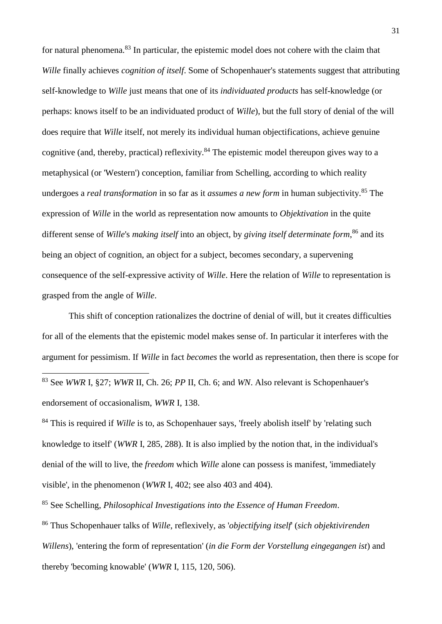for natural phenomena.<sup>83</sup> In particular, the epistemic model does not cohere with the claim that *Wille* finally achieves *cognition of itself*. Some of Schopenhauer's statements suggest that attributing self-knowledge to *Wille* just means that one of its *individuated products* has self-knowledge (or perhaps: knows itself to be an individuated product of *Wille*), but the full story of denial of the will does require that *Wille* itself, not merely its individual human objectifications, achieve genuine cognitive (and, thereby, practical) reflexivity.<sup>84</sup> The epistemic model thereupon gives way to a metaphysical (or 'Western') conception, familiar from Schelling, according to which reality undergoes a *real transformation* in so far as it *assumes a new form* in human subjectivity.<sup>85</sup> The expression of *Wille* in the world as representation now amounts to *Objektivation* in the quite different sense of *Wille*'s *making itself* into an object, by *giving itself determinate form*, <sup>86</sup> and its being an object of cognition, an object for a subject, becomes secondary, a supervening consequence of the self-expressive activity of *Wille*. Here the relation of *Wille* to representation is grasped from the angle of *Wille*.

This shift of conception rationalizes the doctrine of denial of will, but it creates difficulties for all of the elements that the epistemic model makes sense of. In particular it interferes with the argument for pessimism. If *Wille* in fact *becomes* the world as representation, then there is scope for -<sup>83</sup> See *WWR* I, §27; *WWR* II, Ch. 26; *PP* II, Ch. 6; and *WN*. Also relevant is Schopenhauer's endorsement of occasionalism, *WWR* I, 138.

<sup>84</sup> This is required if *Wille* is to, as Schopenhauer says, 'freely abolish itself' by 'relating such knowledge to itself' (*WWR* I, 285, 288). It is also implied by the notion that, in the individual's denial of the will to live, the *freedom* which *Wille* alone can possess is manifest, 'immediately visible', in the phenomenon (*WWR* I, 402; see also 403 and 404).

<sup>85</sup> See Schelling, *Philosophical Investigations into the Essence of Human Freedom*.

<sup>86</sup> Thus Schopenhauer talks of *Wille*, reflexively, as '*objectifying itself*' (*sich objektivirenden Willens*), 'entering the form of representation' (*in die Form der Vorstellung eingegangen ist*) and thereby 'becoming knowable' (*WWR* I, 115, 120, 506).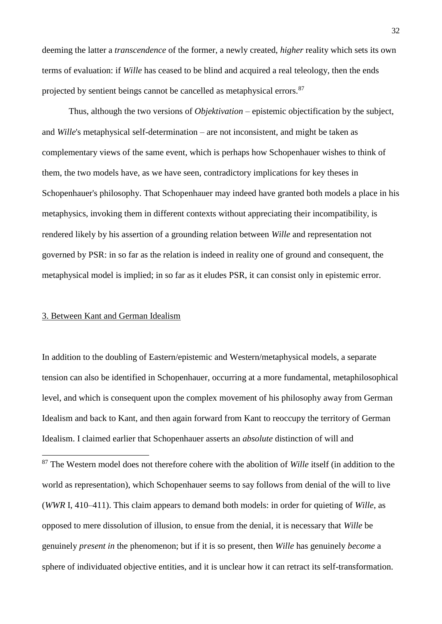deeming the latter a *transcendence* of the former, a newly created, *higher* reality which sets its own terms of evaluation: if *Wille* has ceased to be blind and acquired a real teleology, then the ends projected by sentient beings cannot be cancelled as metaphysical errors.<sup>87</sup>

Thus, although the two versions of *Objektivation* – epistemic objectification by the subject, and *Wille*'s metaphysical self-determination – are not inconsistent, and might be taken as complementary views of the same event, which is perhaps how Schopenhauer wishes to think of them, the two models have, as we have seen, contradictory implications for key theses in Schopenhauer's philosophy. That Schopenhauer may indeed have granted both models a place in his metaphysics, invoking them in different contexts without appreciating their incompatibility, is rendered likely by his assertion of a grounding relation between *Wille* and representation not governed by PSR: in so far as the relation is indeed in reality one of ground and consequent, the metaphysical model is implied; in so far as it eludes PSR, it can consist only in epistemic error.

### 3. Between Kant and German Idealism

1

In addition to the doubling of Eastern/epistemic and Western/metaphysical models, a separate tension can also be identified in Schopenhauer, occurring at a more fundamental, metaphilosophical level, and which is consequent upon the complex movement of his philosophy away from German Idealism and back to Kant, and then again forward from Kant to reoccupy the territory of German Idealism. I claimed earlier that Schopenhauer asserts an *absolute* distinction of will and

<sup>87</sup> The Western model does not therefore cohere with the abolition of *Wille* itself (in addition to the world as representation), which Schopenhauer seems to say follows from denial of the will to live (*WWR* I, 410–411). This claim appears to demand both models: in order for quieting of *Wille*, as opposed to mere dissolution of illusion, to ensue from the denial, it is necessary that *Wille* be genuinely *present in* the phenomenon; but if it is so present, then *Wille* has genuinely *become* a sphere of individuated objective entities, and it is unclear how it can retract its self-transformation.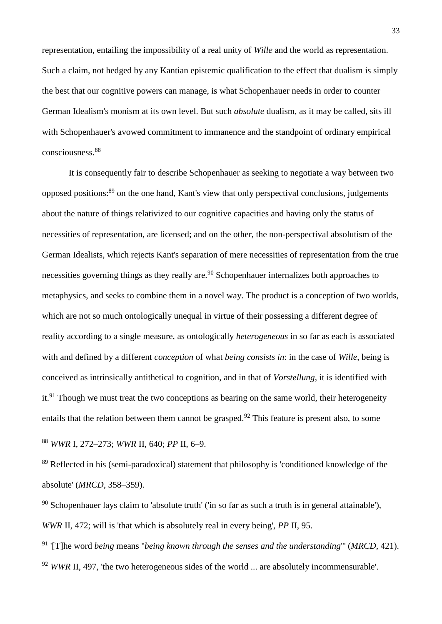representation, entailing the impossibility of a real unity of *Wille* and the world as representation. Such a claim, not hedged by any Kantian epistemic qualification to the effect that dualism is simply the best that our cognitive powers can manage, is what Schopenhauer needs in order to counter German Idealism's monism at its own level. But such *absolute* dualism, as it may be called, sits ill with Schopenhauer's avowed commitment to immanence and the standpoint of ordinary empirical consciousness.<sup>88</sup>

It is consequently fair to describe Schopenhauer as seeking to negotiate a way between two opposed positions:<sup>89</sup> on the one hand, Kant's view that only perspectival conclusions, judgements about the nature of things relativized to our cognitive capacities and having only the status of necessities of representation, are licensed; and on the other, the non-perspectival absolutism of the German Idealists, which rejects Kant's separation of mere necessities of representation from the true necessities governing things as they really are.<sup>90</sup> Schopenhauer internalizes both approaches to metaphysics, and seeks to combine them in a novel way. The product is a conception of two worlds, which are not so much ontologically unequal in virtue of their possessing a different degree of reality according to a single measure, as ontologically *heterogeneous* in so far as each is associated with and defined by a different *conception* of what *being consists in*: in the case of *Wille*, being is conceived as intrinsically antithetical to cognition, and in that of *Vorstellung*, it is identified with  $it.^{91}$  Though we must treat the two conceptions as bearing on the same world, their heterogeneity entails that the relation between them cannot be grasped.<sup>92</sup> This feature is present also, to some

<sup>88</sup> *WWR* I, 272–273; *WWR* II, 640; *PP* II, 6–9.

-

<sup>89</sup> Reflected in his (semi-paradoxical) statement that philosophy is 'conditioned knowledge of the absolute' (*MRCD*, 358–359).

<sup>90</sup> Schopenhauer lays claim to 'absolute truth' ('in so far as such a truth is in general attainable'), *WWR* II, 472; will is 'that which is absolutely real in every being', *PP* II, 95.

<sup>91</sup> '[T]he word *being* means ''*being known through the senses and the understanding*''' (*MRCD*, 421). <sup>92</sup> *WWR* II, 497, 'the two heterogeneous sides of the world ... are absolutely incommensurable'.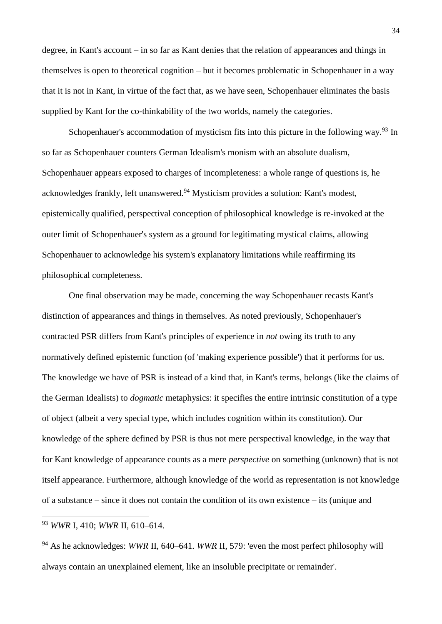degree, in Kant's account – in so far as Kant denies that the relation of appearances and things in themselves is open to theoretical cognition – but it becomes problematic in Schopenhauer in a way that it is not in Kant, in virtue of the fact that, as we have seen, Schopenhauer eliminates the basis supplied by Kant for the co-thinkability of the two worlds, namely the categories.

Schopenhauer's accommodation of mysticism fits into this picture in the following way.<sup>93</sup> In so far as Schopenhauer counters German Idealism's monism with an absolute dualism, Schopenhauer appears exposed to charges of incompleteness: a whole range of questions is, he acknowledges frankly, left unanswered.<sup>94</sup> Mysticism provides a solution: Kant's modest, epistemically qualified, perspectival conception of philosophical knowledge is re-invoked at the outer limit of Schopenhauer's system as a ground for legitimating mystical claims, allowing Schopenhauer to acknowledge his system's explanatory limitations while reaffirming its philosophical completeness.

One final observation may be made, concerning the way Schopenhauer recasts Kant's distinction of appearances and things in themselves. As noted previously, Schopenhauer's contracted PSR differs from Kant's principles of experience in *not* owing its truth to any normatively defined epistemic function (of 'making experience possible') that it performs for us. The knowledge we have of PSR is instead of a kind that, in Kant's terms, belongs (like the claims of the German Idealists) to *dogmatic* metaphysics: it specifies the entire intrinsic constitution of a type of object (albeit a very special type, which includes cognition within its constitution). Our knowledge of the sphere defined by PSR is thus not mere perspectival knowledge, in the way that for Kant knowledge of appearance counts as a mere *perspective* on something (unknown) that is not itself appearance. Furthermore, although knowledge of the world as representation is not knowledge of a substance – since it does not contain the condition of its own existence – its (unique and

<sup>93</sup> *WWR* I, 410; *WWR* II, 610–614.

<sup>94</sup> As he acknowledges: *WWR* II, 640–641. *WWR* II, 579: 'even the most perfect philosophy will always contain an unexplained element, like an insoluble precipitate or remainder'.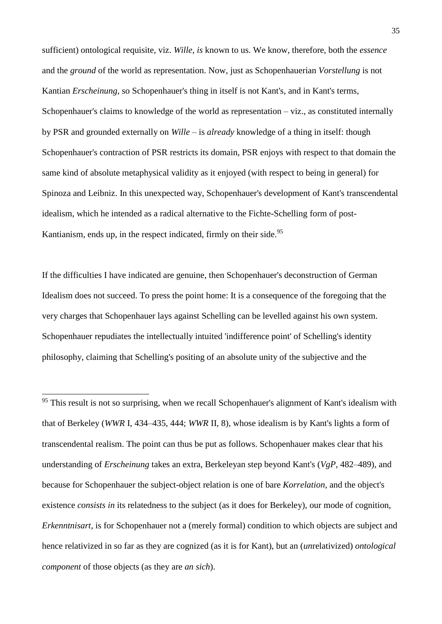sufficient) ontological requisite, viz. *Wille*, *is* known to us. We know, therefore, both the *essence* and the *ground* of the world as representation. Now, just as Schopenhauerian *Vorstellung* is not Kantian *Erscheinung*, so Schopenhauer's thing in itself is not Kant's, and in Kant's terms, Schopenhauer's claims to knowledge of the world as representation – viz., as constituted internally by PSR and grounded externally on *Wille* – is *already* knowledge of a thing in itself: though Schopenhauer's contraction of PSR restricts its domain, PSR enjoys with respect to that domain the same kind of absolute metaphysical validity as it enjoyed (with respect to being in general) for Spinoza and Leibniz. In this unexpected way, Schopenhauer's development of Kant's transcendental idealism, which he intended as a radical alternative to the Fichte-Schelling form of post-Kantianism, ends up, in the respect indicated, firmly on their side.<sup>95</sup>

If the difficulties I have indicated are genuine, then Schopenhauer's deconstruction of German Idealism does not succeed. To press the point home: It is a consequence of the foregoing that the very charges that Schopenhauer lays against Schelling can be levelled against his own system. Schopenhauer repudiates the intellectually intuited 'indifference point' of Schelling's identity philosophy, claiming that Schelling's positing of an absolute unity of the subjective and the

<sup>&</sup>lt;sup>95</sup> This result is not so surprising, when we recall Schopenhauer's alignment of Kant's idealism with that of Berkeley (*WWR* I, 434–435, 444; *WWR* II, 8), whose idealism is by Kant's lights a form of transcendental realism. The point can thus be put as follows. Schopenhauer makes clear that his understanding of *Erscheinung* takes an extra, Berkeleyan step beyond Kant's (*VgP*, 482–489), and because for Schopenhauer the subject-object relation is one of bare *Korrelation*, and the object's existence *consists in* its relatedness to the subject (as it does for Berkeley), our mode of cognition, *Erkenntnisart*, is for Schopenhauer not a (merely formal) condition to which objects are subject and hence relativized in so far as they are cognized (as it is for Kant), but an (*un*relativized) *ontological component* of those objects (as they are *an sich*).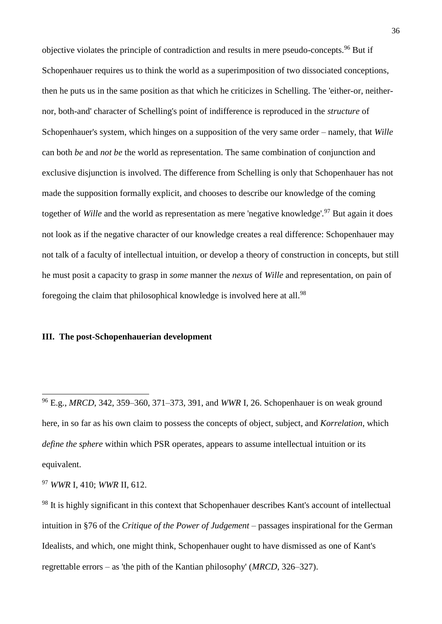objective violates the principle of contradiction and results in mere pseudo-concepts.<sup>96</sup> But if Schopenhauer requires us to think the world as a superimposition of two dissociated conceptions, then he puts us in the same position as that which he criticizes in Schelling. The 'either-or, neithernor, both-and' character of Schelling's point of indifference is reproduced in the *structure* of Schopenhauer's system, which hinges on a supposition of the very same order – namely, that *Wille* can both *be* and *not be* the world as representation. The same combination of conjunction and exclusive disjunction is involved. The difference from Schelling is only that Schopenhauer has not made the supposition formally explicit, and chooses to describe our knowledge of the coming together of *Wille* and the world as representation as mere 'negative knowledge'.<sup>97</sup> But again it does not look as if the negative character of our knowledge creates a real difference: Schopenhauer may not talk of a faculty of intellectual intuition, or develop a theory of construction in concepts, but still he must posit a capacity to grasp in *some* manner the *nexus* of *Wille* and representation, on pain of foregoing the claim that philosophical knowledge is involved here at all.<sup>98</sup>

# **III. The post-Schopenhauerian development**

<sup>97</sup> *WWR* I, 410; *WWR* II, 612.

<sup>96</sup> E.g., *MRCD*, 342, 359–360, 371–373, 391, and *WWR* I, 26. Schopenhauer is on weak ground here, in so far as his own claim to possess the concepts of object, subject, and *Korrelation*, which *define the sphere* within which PSR operates, appears to assume intellectual intuition or its equivalent.

<sup>98</sup> It is highly significant in this context that Schopenhauer describes Kant's account of intellectual intuition in §76 of the *Critique of the Power of Judgement* – passages inspirational for the German Idealists, and which, one might think, Schopenhauer ought to have dismissed as one of Kant's regrettable errors – as 'the pith of the Kantian philosophy' (*MRCD*, 326–327).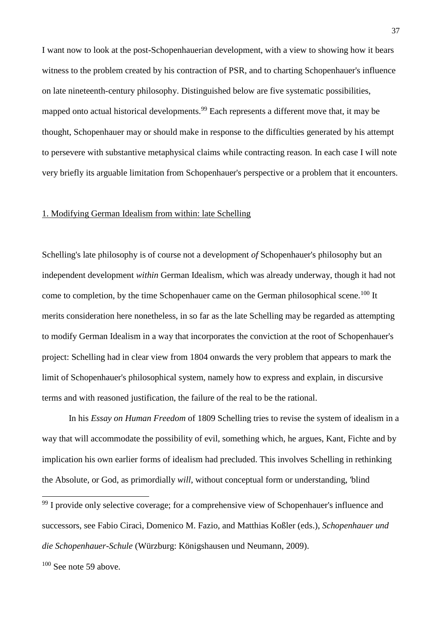I want now to look at the post-Schopenhauerian development, with a view to showing how it bears witness to the problem created by his contraction of PSR, and to charting Schopenhauer's influence on late nineteenth-century philosophy. Distinguished below are five systematic possibilities, mapped onto actual historical developments.<sup>99</sup> Each represents a different move that, it may be thought, Schopenhauer may or should make in response to the difficulties generated by his attempt to persevere with substantive metaphysical claims while contracting reason. In each case I will note very briefly its arguable limitation from Schopenhauer's perspective or a problem that it encounters.

# 1. Modifying German Idealism from within: late Schelling

Schelling's late philosophy is of course not a development *of* Schopenhauer's philosophy but an independent development *within* German Idealism, which was already underway, though it had not come to completion, by the time Schopenhauer came on the German philosophical scene.<sup>100</sup> It merits consideration here nonetheless, in so far as the late Schelling may be regarded as attempting to modify German Idealism in a way that incorporates the conviction at the root of Schopenhauer's project: Schelling had in clear view from 1804 onwards the very problem that appears to mark the limit of Schopenhauer's philosophical system, namely how to express and explain, in discursive terms and with reasoned justification, the failure of the real to be the rational.

In his *Essay on Human Freedom* of 1809 Schelling tries to revise the system of idealism in a way that will accommodate the possibility of evil, something which, he argues, Kant, Fichte and by implication his own earlier forms of idealism had precluded. This involves Schelling in rethinking the Absolute, or God, as primordially *will*, without conceptual form or understanding, 'blind

-

<sup>&</sup>lt;sup>99</sup> I provide only selective coverage; for a comprehensive view of Schopenhauer's influence and successors, see Fabio Ciracì, Domenico M. Fazio, and Matthias Koßler (eds.), *Schopenhauer und die Schopenhauer-Schule* (Würzburg: Königshausen und Neumann, 2009).

<sup>&</sup>lt;sup>100</sup> See note 59 above.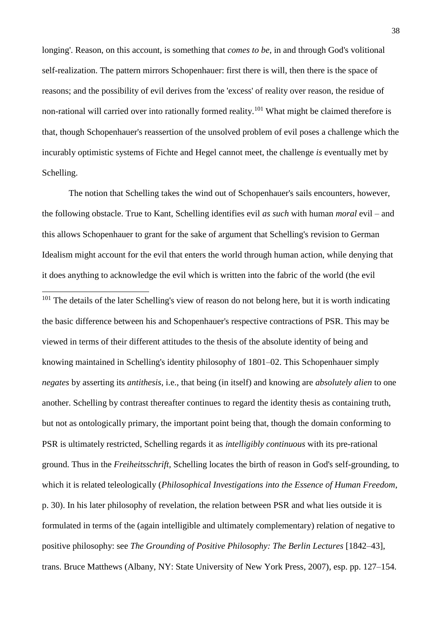longing'. Reason, on this account, is something that *comes to be*, in and through God's volitional self-realization. The pattern mirrors Schopenhauer: first there is will, then there is the space of reasons; and the possibility of evil derives from the 'excess' of reality over reason, the residue of non-rational will carried over into rationally formed reality.<sup>101</sup> What might be claimed therefore is that, though Schopenhauer's reassertion of the unsolved problem of evil poses a challenge which the incurably optimistic systems of Fichte and Hegel cannot meet, the challenge *is* eventually met by Schelling.

The notion that Schelling takes the wind out of Schopenhauer's sails encounters, however, the following obstacle. True to Kant, Schelling identifies evil *as such* with human *moral* evil – and this allows Schopenhauer to grant for the sake of argument that Schelling's revision to German Idealism might account for the evil that enters the world through human action, while denying that it does anything to acknowledge the evil which is written into the fabric of the world (the evil

1

<sup>101</sup> The details of the later Schelling's view of reason do not belong here, but it is worth indicating the basic difference between his and Schopenhauer's respective contractions of PSR. This may be viewed in terms of their different attitudes to the thesis of the absolute identity of being and knowing maintained in Schelling's identity philosophy of 1801–02. This Schopenhauer simply *negates* by asserting its *antithesis*, i.e., that being (in itself) and knowing are *absolutely alien* to one another. Schelling by contrast thereafter continues to regard the identity thesis as containing truth, but not as ontologically primary, the important point being that, though the domain conforming to PSR is ultimately restricted, Schelling regards it as *intelligibly continuous* with its pre-rational ground. Thus in the *Freiheitsschrift*, Schelling locates the birth of reason in God's self-grounding, to which it is related teleologically (*Philosophical Investigations into the Essence of Human Freedom*, p. 30). In his later philosophy of revelation, the relation between PSR and what lies outside it is formulated in terms of the (again intelligible and ultimately complementary) relation of negative to positive philosophy: see *The Grounding of Positive Philosophy: The Berlin Lectures* [1842–43], trans. Bruce Matthews (Albany, NY: State University of New York Press, 2007), esp. pp. 127–154.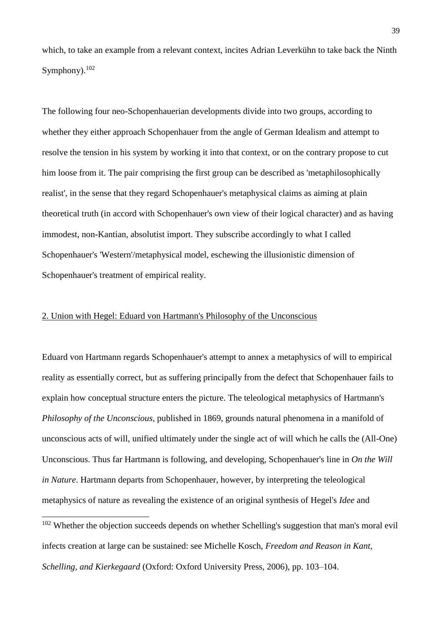which, to take an example from a relevant context, incites Adrian Leverkühn to take back the Ninth Symphony).<sup>102</sup>

The following four neo-Schopenhauerian developments divide into two groups, according to whether they either approach Schopenhauer from the angle of German Idealism and attempt to resolve the tension in his system by working it into that context, or on the contrary propose to cut him loose from it. The pair comprising the first group can be described as 'metaphilosophically realist', in the sense that they regard Schopenhauer's metaphysical claims as aiming at plain theoretical truth (in accord with Schopenhauer's own view of their logical character) and as having immodest, non-Kantian, absolutist import. They subscribe accordingly to what I called Schopenhauer's 'Western'/metaphysical model, eschewing the illusionistic dimension of Schopenhauer's treatment of empirical reality.

### 2. Union with Hegel: Eduard von Hartmann's Philosophy of the Unconscious

1

Eduard von Hartmann regards Schopenhauer's attempt to annex a metaphysics of will to empirical reality as essentially correct, but as suffering principally from the defect that Schopenhauer fails to explain how conceptual structure enters the picture. The teleological metaphysics of Hartmann's *Philosophy of the Unconscious*, published in 1869, grounds natural phenomena in a manifold of unconscious acts of will, unified ultimately under the single act of will which he calls the (All-One) Unconscious. Thus far Hartmann is following, and developing, Schopenhauer's line in *On the Will in Nature*. Hartmann departs from Schopenhauer, however, by interpreting the teleological metaphysics of nature as revealing the existence of an original synthesis of Hegel's *Idee* and

<sup>&</sup>lt;sup>102</sup> Whether the objection succeeds depends on whether Schelling's suggestion that man's moral evil infects creation at large can be sustained: see Michelle Kosch, *Freedom and Reason in Kant, Schelling, and Kierkegaard* (Oxford: Oxford University Press, 2006), pp. 103–104.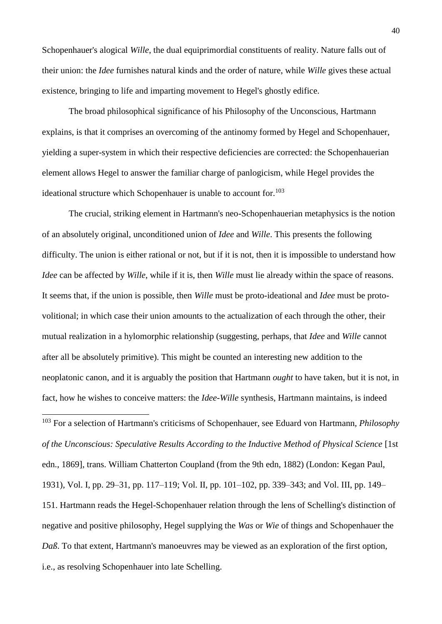Schopenhauer's alogical *Wille*, the dual equiprimordial constituents of reality. Nature falls out of their union: the *Idee* furnishes natural kinds and the order of nature, while *Wille* gives these actual existence, bringing to life and imparting movement to Hegel's ghostly edifice.

The broad philosophical significance of his Philosophy of the Unconscious, Hartmann explains, is that it comprises an overcoming of the antinomy formed by Hegel and Schopenhauer, yielding a super-system in which their respective deficiencies are corrected: the Schopenhauerian element allows Hegel to answer the familiar charge of panlogicism, while Hegel provides the ideational structure which Schopenhauer is unable to account for.<sup>103</sup>

The crucial, striking element in Hartmann's neo-Schopenhauerian metaphysics is the notion of an absolutely original, unconditioned union of *Idee* and *Wille*. This presents the following difficulty. The union is either rational or not, but if it is not, then it is impossible to understand how *Idee* can be affected by *Wille*, while if it is, then *Wille* must lie already within the space of reasons. It seems that, if the union is possible, then *Wille* must be proto-ideational and *Idee* must be protovolitional; in which case their union amounts to the actualization of each through the other, their mutual realization in a hylomorphic relationship (suggesting, perhaps, that *Idee* and *Wille* cannot after all be absolutely primitive). This might be counted an interesting new addition to the neoplatonic canon, and it is arguably the position that Hartmann *ought* to have taken, but it is not, in fact, how he wishes to conceive matters: the *Idee*-*Wille* synthesis, Hartmann maintains, is indeed

<sup>103</sup> For a selection of Hartmann's criticisms of Schopenhauer, see Eduard von Hartmann, *Philosophy of the Unconscious: Speculative Results According to the Inductive Method of Physical Science* [1st edn., 1869], trans. William Chatterton Coupland (from the 9th edn, 1882) (London: Kegan Paul, 1931), Vol. I, pp. 29–31, pp. 117–119; Vol. II, pp. 101–102, pp. 339–343; and Vol. III, pp. 149– 151. Hartmann reads the Hegel-Schopenhauer relation through the lens of Schelling's distinction of negative and positive philosophy, Hegel supplying the *Was* or *Wie* of things and Schopenhauer the *Daß*. To that extent, Hartmann's manoeuvres may be viewed as an exploration of the first option, i.e., as resolving Schopenhauer into late Schelling.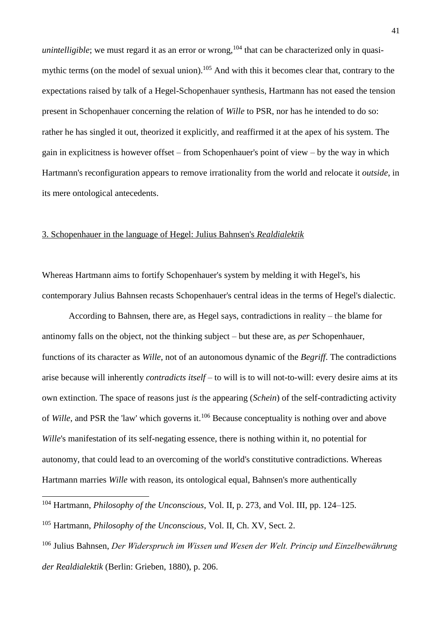*unintelligible*; we must regard it as an error or wrong,<sup>104</sup> that can be characterized only in quasimythic terms (on the model of sexual union).<sup>105</sup> And with this it becomes clear that, contrary to the expectations raised by talk of a Hegel-Schopenhauer synthesis, Hartmann has not eased the tension present in Schopenhauer concerning the relation of *Wille* to PSR, nor has he intended to do so: rather he has singled it out, theorized it explicitly, and reaffirmed it at the apex of his system. The gain in explicitness is however offset – from Schopenhauer's point of view – by the way in which Hartmann's reconfiguration appears to remove irrationality from the world and relocate it *outside*, in its mere ontological antecedents.

## 3. Schopenhauer in the language of Hegel: Julius Bahnsen's *Realdialektik*

Whereas Hartmann aims to fortify Schopenhauer's system by melding it with Hegel's, his contemporary Julius Bahnsen recasts Schopenhauer's central ideas in the terms of Hegel's dialectic.

According to Bahnsen, there are, as Hegel says, contradictions in reality – the blame for antinomy falls on the object, not the thinking subject – but these are, as *per* Schopenhauer, functions of its character as *Wille*, not of an autonomous dynamic of the *Begriff*. The contradictions arise because will inherently *contradicts itself* – to will is to will not-to-will: every desire aims at its own extinction. The space of reasons just *is* the appearing (*Schein*) of the self-contradicting activity of *Wille*, and PSR the 'law' which governs it.<sup>106</sup> Because conceptuality is nothing over and above *Wille*'s manifestation of its self-negating essence, there is nothing within it, no potential for autonomy, that could lead to an overcoming of the world's constitutive contradictions. Whereas Hartmann marries *Wille* with reason, its ontological equal, Bahnsen's more authentically

-

<sup>104</sup> Hartmann, *Philosophy of the Unconscious*, Vol. II, p. 273, and Vol. III, pp. 124–125.

<sup>105</sup> Hartmann, *Philosophy of the Unconscious*, Vol. II, Ch. XV, Sect. 2.

<sup>106</sup> Julius Bahnsen, *Der Widerspruch im Wissen und Wesen der Welt. Princip und Einzelbewährung der Realdialektik* (Berlin: Grieben, 1880), p. 206.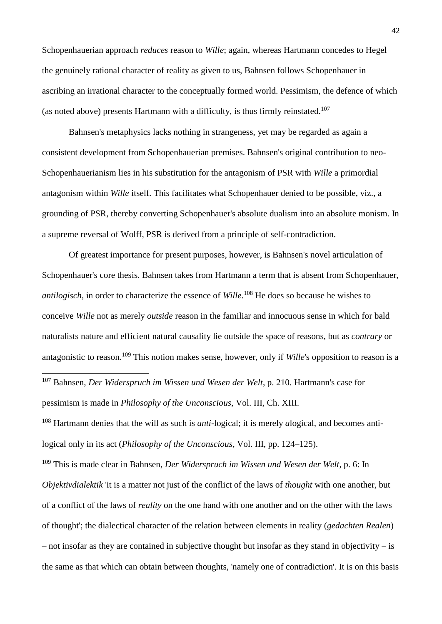Schopenhauerian approach *reduces* reason to *Wille*; again, whereas Hartmann concedes to Hegel the genuinely rational character of reality as given to us, Bahnsen follows Schopenhauer in ascribing an irrational character to the conceptually formed world. Pessimism, the defence of which (as noted above) presents Hartmann with a difficulty, is thus firmly reinstated.<sup>107</sup>

Bahnsen's metaphysics lacks nothing in strangeness, yet may be regarded as again a consistent development from Schopenhauerian premises. Bahnsen's original contribution to neo-Schopenhauerianism lies in his substitution for the antagonism of PSR with *Wille* a primordial antagonism within *Wille* itself. This facilitates what Schopenhauer denied to be possible, viz., a grounding of PSR, thereby converting Schopenhauer's absolute dualism into an absolute monism. In a supreme reversal of Wolff, PSR is derived from a principle of self-contradiction.

Of greatest importance for present purposes, however, is Bahnsen's novel articulation of Schopenhauer's core thesis. Bahnsen takes from Hartmann a term that is absent from Schopenhauer, *antilogisch*, in order to characterize the essence of *Wille*. <sup>108</sup> He does so because he wishes to conceive *Wille* not as merely *outside* reason in the familiar and innocuous sense in which for bald naturalists nature and efficient natural causality lie outside the space of reasons, but as *contrary* or antagonistic to reason.<sup>109</sup> This notion makes sense, however, only if *Wille*'s opposition to reason is a

<sup>107</sup> Bahnsen, *Der Widerspruch im Wissen und Wesen der Welt*, p. 210. Hartmann's case for pessimism is made in *Philosophy of the Unconscious*, Vol. III, Ch. XIII.

-

<sup>108</sup> Hartmann denies that the will as such is *anti*-logical; it is merely *a*logical, and becomes antilogical only in its act (*Philosophy of the Unconscious*, Vol. III, pp. 124–125).

<sup>109</sup> This is made clear in Bahnsen, *Der Widerspruch im Wissen und Wesen der Welt*, p. 6: In *Objektivdialektik* 'it is a matter not just of the conflict of the laws of *thought* with one another, but of a conflict of the laws of *reality* on the one hand with one another and on the other with the laws of thought'; the dialectical character of the relation between elements in reality (*gedachten Realen*) – not insofar as they are contained in subjective thought but insofar as they stand in objectivity – is the same as that which can obtain between thoughts, 'namely one of contradiction'. It is on this basis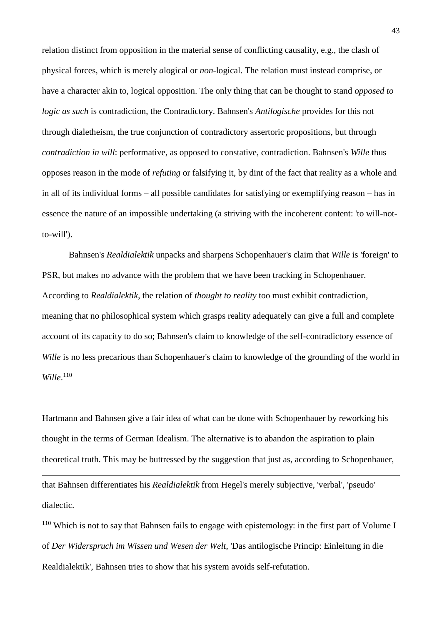relation distinct from opposition in the material sense of conflicting causality, e.g., the clash of physical forces, which is merely *a*logical or *non*-logical. The relation must instead comprise, or have a character akin to, logical opposition. The only thing that can be thought to stand *opposed to logic as such* is contradiction, the Contradictory. Bahnsen's *Antilogische* provides for this not through dialetheism, the true conjunction of contradictory assertoric propositions, but through *contradiction in will*: performative, as opposed to constative, contradiction. Bahnsen's *Wille* thus opposes reason in the mode of *refuting* or falsifying it, by dint of the fact that reality as a whole and in all of its individual forms – all possible candidates for satisfying or exemplifying reason – has in essence the nature of an impossible undertaking (a striving with the incoherent content: 'to will-notto-will').

Bahnsen's *Realdialektik* unpacks and sharpens Schopenhauer's claim that *Wille* is 'foreign' to PSR, but makes no advance with the problem that we have been tracking in Schopenhauer. According to *Realdialektik*, the relation of *thought to reality* too must exhibit contradiction, meaning that no philosophical system which grasps reality adequately can give a full and complete account of its capacity to do so; Bahnsen's claim to knowledge of the self-contradictory essence of *Wille* is no less precarious than Schopenhauer's claim to knowledge of the grounding of the world in *Wille*. 110

Hartmann and Bahnsen give a fair idea of what can be done with Schopenhauer by reworking his thought in the terms of German Idealism. The alternative is to abandon the aspiration to plain theoretical truth. This may be buttressed by the suggestion that just as, according to Schopenhauer,

that Bahnsen differentiates his *Realdialektik* from Hegel's merely subjective, 'verbal', 'pseudo' dialectic.

-

<sup>110</sup> Which is not to say that Bahnsen fails to engage with epistemology: in the first part of Volume I of *Der Widerspruch im Wissen und Wesen der Welt*, 'Das antilogische Princip: Einleitung in die Realdialektik', Bahnsen tries to show that his system avoids self-refutation.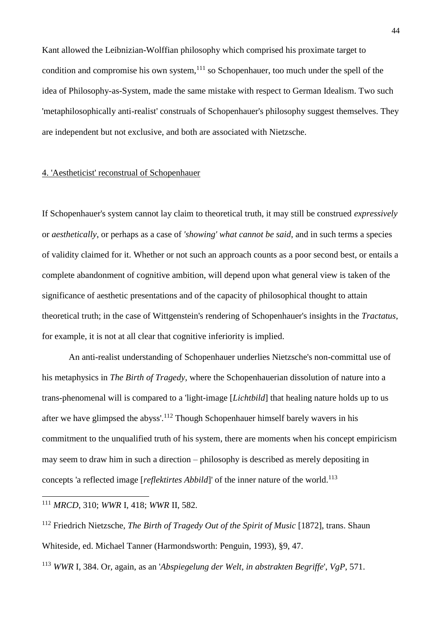Kant allowed the Leibnizian-Wolffian philosophy which comprised his proximate target to condition and compromise his own system, $^{111}$  so Schopenhauer, too much under the spell of the idea of Philosophy-as-System, made the same mistake with respect to German Idealism. Two such 'metaphilosophically anti-realist' construals of Schopenhauer's philosophy suggest themselves. They are independent but not exclusive, and both are associated with Nietzsche.

# 4. 'Aestheticist' reconstrual of Schopenhauer

If Schopenhauer's system cannot lay claim to theoretical truth, it may still be construed *expressively* or *aesthetically*, or perhaps as a case of *'showing' what cannot be said*, and in such terms a species of validity claimed for it. Whether or not such an approach counts as a poor second best, or entails a complete abandonment of cognitive ambition, will depend upon what general view is taken of the significance of aesthetic presentations and of the capacity of philosophical thought to attain theoretical truth; in the case of Wittgenstein's rendering of Schopenhauer's insights in the *Tractatus*, for example, it is not at all clear that cognitive inferiority is implied.

An anti-realist understanding of Schopenhauer underlies Nietzsche's non-committal use of his metaphysics in *The Birth of Tragedy*, where the Schopenhauerian dissolution of nature into a trans-phenomenal will is compared to a 'light-image [*Lichtbild*] that healing nature holds up to us after we have glimpsed the abyss'.<sup>112</sup> Though Schopenhauer himself barely wavers in his commitment to the unqualified truth of his system, there are moments when his concept empiricism may seem to draw him in such a direction – philosophy is described as merely depositing in concepts 'a reflected image [*reflektirtes Abbild*]' of the inner nature of the world.<sup>113</sup>

<sup>111</sup> *MRCD*, 310; *WWR* I, 418; *WWR* II, 582.

-

<sup>112</sup> Friedrich Nietzsche, *The Birth of Tragedy Out of the Spirit of Music* [1872], trans. Shaun Whiteside, ed. Michael Tanner (Harmondsworth: Penguin, 1993), §9, 47.

<sup>113</sup> *WWR* I, 384. Or, again, as an '*Abspiegelung der Welt, in abstrakten Begriffe*', *VgP*, 571.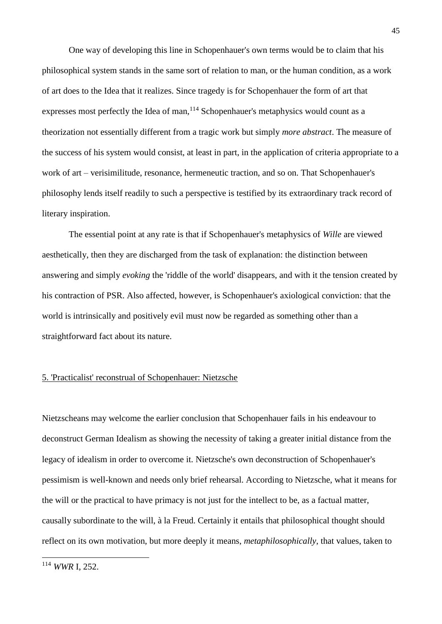One way of developing this line in Schopenhauer's own terms would be to claim that his philosophical system stands in the same sort of relation to man, or the human condition, as a work of art does to the Idea that it realizes. Since tragedy is for Schopenhauer the form of art that expresses most perfectly the Idea of man,  $114$  Schopenhauer's metaphysics would count as a theorization not essentially different from a tragic work but simply *more abstract*. The measure of the success of his system would consist, at least in part, in the application of criteria appropriate to a work of art – verisimilitude, resonance, hermeneutic traction, and so on. That Schopenhauer's philosophy lends itself readily to such a perspective is testified by its extraordinary track record of literary inspiration.

The essential point at any rate is that if Schopenhauer's metaphysics of *Wille* are viewed aesthetically, then they are discharged from the task of explanation: the distinction between answering and simply *evoking* the 'riddle of the world' disappears, and with it the tension created by his contraction of PSR. Also affected, however, is Schopenhauer's axiological conviction: that the world is intrinsically and positively evil must now be regarded as something other than a straightforward fact about its nature.

# 5. 'Practicalist' reconstrual of Schopenhauer: Nietzsche

Nietzscheans may welcome the earlier conclusion that Schopenhauer fails in his endeavour to deconstruct German Idealism as showing the necessity of taking a greater initial distance from the legacy of idealism in order to overcome it. Nietzsche's own deconstruction of Schopenhauer's pessimism is well-known and needs only brief rehearsal. According to Nietzsche, what it means for the will or the practical to have primacy is not just for the intellect to be, as a factual matter, causally subordinate to the will, à la Freud. Certainly it entails that philosophical thought should reflect on its own motivation, but more deeply it means, *metaphilosophically*, that values, taken to

<sup>114</sup> *WWR* I, 252.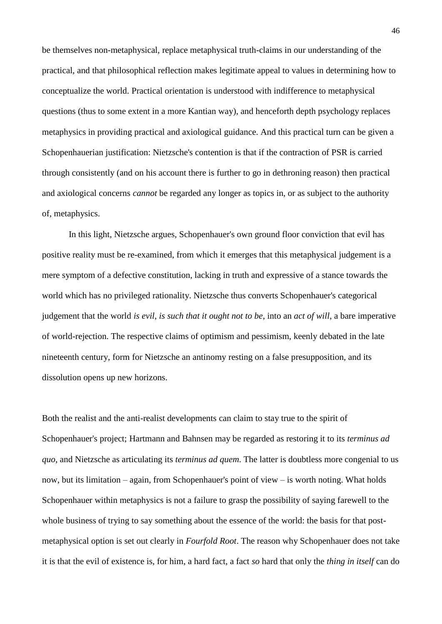be themselves non-metaphysical, replace metaphysical truth-claims in our understanding of the practical, and that philosophical reflection makes legitimate appeal to values in determining how to conceptualize the world. Practical orientation is understood with indifference to metaphysical questions (thus to some extent in a more Kantian way), and henceforth depth psychology replaces metaphysics in providing practical and axiological guidance. And this practical turn can be given a Schopenhauerian justification: Nietzsche's contention is that if the contraction of PSR is carried through consistently (and on his account there is further to go in dethroning reason) then practical and axiological concerns *cannot* be regarded any longer as topics in, or as subject to the authority of, metaphysics.

In this light, Nietzsche argues, Schopenhauer's own ground floor conviction that evil has positive reality must be re-examined, from which it emerges that this metaphysical judgement is a mere symptom of a defective constitution, lacking in truth and expressive of a stance towards the world which has no privileged rationality. Nietzsche thus converts Schopenhauer's categorical judgement that the world *is evil*, *is such that it ought not to be*, into an *act of will*, a bare imperative of world-rejection. The respective claims of optimism and pessimism, keenly debated in the late nineteenth century, form for Nietzsche an antinomy resting on a false presupposition, and its dissolution opens up new horizons.

Both the realist and the anti-realist developments can claim to stay true to the spirit of Schopenhauer's project; Hartmann and Bahnsen may be regarded as restoring it to its *terminus ad quo*, and Nietzsche as articulating its *terminus ad quem*. The latter is doubtless more congenial to us now, but its limitation – again, from Schopenhauer's point of view – is worth noting. What holds Schopenhauer within metaphysics is not a failure to grasp the possibility of saying farewell to the whole business of trying to say something about the essence of the world: the basis for that postmetaphysical option is set out clearly in *Fourfold Root*. The reason why Schopenhauer does not take it is that the evil of existence is, for him, a hard fact, a fact *so* hard that only the *thing in itself* can do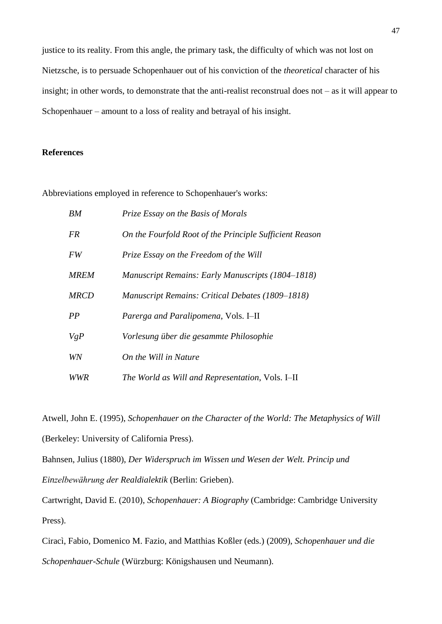justice to its reality. From this angle, the primary task, the difficulty of which was not lost on Nietzsche, is to persuade Schopenhauer out of his conviction of the *theoretical* character of his insight; in other words, to demonstrate that the anti-realist reconstrual does not – as it will appear to Schopenhauer – amount to a loss of reality and betrayal of his insight.

## **References**

Abbreviations employed in reference to Schopenhauer's works:

| BM          | Prize Essay on the Basis of Morals                       |
|-------------|----------------------------------------------------------|
| <i>FR</i>   | On the Fourfold Root of the Principle Sufficient Reason  |
| <i>FW</i>   | Prize Essay on the Freedom of the Will                   |
| <b>MREM</b> | <b>Manuscript Remains: Early Manuscripts (1804–1818)</b> |
| <b>MRCD</b> | <b>Manuscript Remains: Critical Debates (1809–1818)</b>  |
| PP          | Parerga and Paralipomena, Vols. I–II                     |
| VgP         | Vorlesung über die gesammte Philosophie                  |
| WN          | On the Will in Nature                                    |
| WWR         | The World as Will and Representation, Vols. I-II         |

Atwell, John E. (1995), *Schopenhauer on the Character of the World: The Metaphysics of Will* (Berkeley: University of California Press).

Bahnsen, Julius (1880), *Der Widerspruch im Wissen und Wesen der Welt. Princip und Einzelbewährung der Realdialektik* (Berlin: Grieben).

Cartwright, David E. (2010), *Schopenhauer: A Biography* (Cambridge: Cambridge University Press).

Ciracì, Fabio, Domenico M. Fazio, and Matthias Koßler (eds.) (2009), *Schopenhauer und die Schopenhauer-Schule* (Würzburg: Königshausen und Neumann).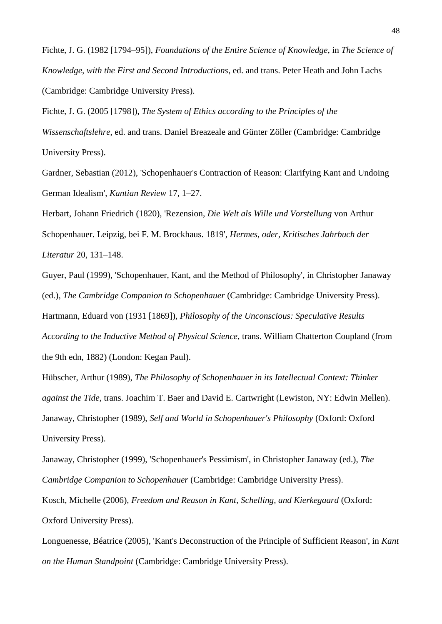Fichte, J. G. (1982 [1794–95]), *Foundations of the Entire Science of Knowledge*, in *The Science of Knowledge, with the First and Second Introductions*, ed. and trans. Peter Heath and John Lachs (Cambridge: Cambridge University Press).

Fichte, J. G. (2005 [1798]), *The System of Ethics according to the Principles of the Wissenschaftslehre*, ed. and trans. Daniel Breazeale and Günter Zöller (Cambridge: Cambridge University Press).

Gardner, Sebastian (2012), 'Schopenhauer's Contraction of Reason: Clarifying Kant and Undoing German Idealism', *Kantian Review* 17, 1–27.

Herbart, Johann Friedrich (1820), 'Rezension, *Die Welt als Wille und Vorstellung* von Arthur Schopenhauer. Leipzig, bei F. M. Brockhaus. 1819', *Hermes, oder, Kritisches Jahrbuch der Literatur* 20, 131–148.

Guyer, Paul (1999), 'Schopenhauer, Kant, and the Method of Philosophy', in Christopher Janaway (ed.), *The Cambridge Companion to Schopenhauer* (Cambridge: Cambridge University Press). Hartmann, Eduard von (1931 [1869]), *Philosophy of the Unconscious: Speculative Results According to the Inductive Method of Physical Science*, trans. William Chatterton Coupland (from the 9th edn, 1882) (London: Kegan Paul).

Hübscher, Arthur (1989), *The Philosophy of Schopenhauer in its Intellectual Context: Thinker against the Tide*, trans. Joachim T. Baer and David E. Cartwright (Lewiston, NY: Edwin Mellen). Janaway, Christopher (1989), *Self and World in Schopenhauer's Philosophy* (Oxford: Oxford University Press).

Janaway, Christopher (1999), 'Schopenhauer's Pessimism', in Christopher Janaway (ed.), *The Cambridge Companion to Schopenhauer* (Cambridge: Cambridge University Press).

Kosch, Michelle (2006), *Freedom and Reason in Kant, Schelling, and Kierkegaard* (Oxford: Oxford University Press).

Longuenesse, Béatrice (2005), 'Kant's Deconstruction of the Principle of Sufficient Reason', in *Kant on the Human Standpoint* (Cambridge: Cambridge University Press).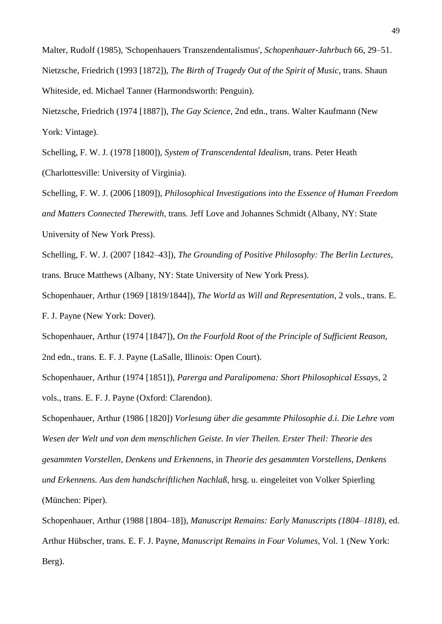Malter, Rudolf (1985), 'Schopenhauers Transzendentalismus', *Schopenhauer-Jahrbuch* 66, 29–51. Nietzsche, Friedrich (1993 [1872]), *The Birth of Tragedy Out of the Spirit of Music*, trans. Shaun Whiteside, ed. Michael Tanner (Harmondsworth: Penguin).

Nietzsche, Friedrich (1974 [1887]), *The Gay Science*, 2nd edn., trans. Walter Kaufmann (New York: Vintage).

Schelling, F. W. J. (1978 [1800]), *System of Transcendental Idealism*, trans. Peter Heath (Charlottesville: University of Virginia).

Schelling, F. W. J. (2006 [1809]), *Philosophical Investigations into the Essence of Human Freedom and Matters Connected Therewith*, trans. Jeff Love and Johannes Schmidt (Albany, NY: State University of New York Press).

Schelling, F. W. J. (2007 [1842–43]), *The Grounding of Positive Philosophy: The Berlin Lectures*, trans. Bruce Matthews (Albany, NY: State University of New York Press).

Schopenhauer, Arthur (1969 [1819/1844]), *The World as Will and Representation*, 2 vols., trans. E. F. J. Payne (New York: Dover).

Schopenhauer, Arthur (1974 [1847]), *On the Fourfold Root of the Principle of Sufficient Reason*, 2nd edn., trans. E. F. J. Payne (LaSalle, Illinois: Open Court).

Schopenhauer, Arthur (1974 [1851]), *Parerga and Paralipomena: Short Philosophical Essays*, 2 vols., trans. E. F. J. Payne (Oxford: Clarendon).

Schopenhauer, Arthur (1986 [1820]) *Vorlesung über die gesammte Philosophie d.i. Die Lehre vom Wesen der Welt und von dem menschlichen Geiste. In vier Theilen. Erster Theil: Theorie des gesammten Vorstellen, Denkens und Erkennens*, in *Theorie des gesammten Vorstellens, Denkens und Erkennens. Aus dem handschriftlichen Nachlaß*, hrsg. u. eingeleitet von Volker Spierling (München: Piper).

Schopenhauer, Arthur (1988 [1804–18]), *Manuscript Remains: Early Manuscripts (1804–1818)*, ed. Arthur Hübscher, trans. E. F. J. Payne, *Manuscript Remains in Four Volumes,* Vol. 1 (New York: Berg).